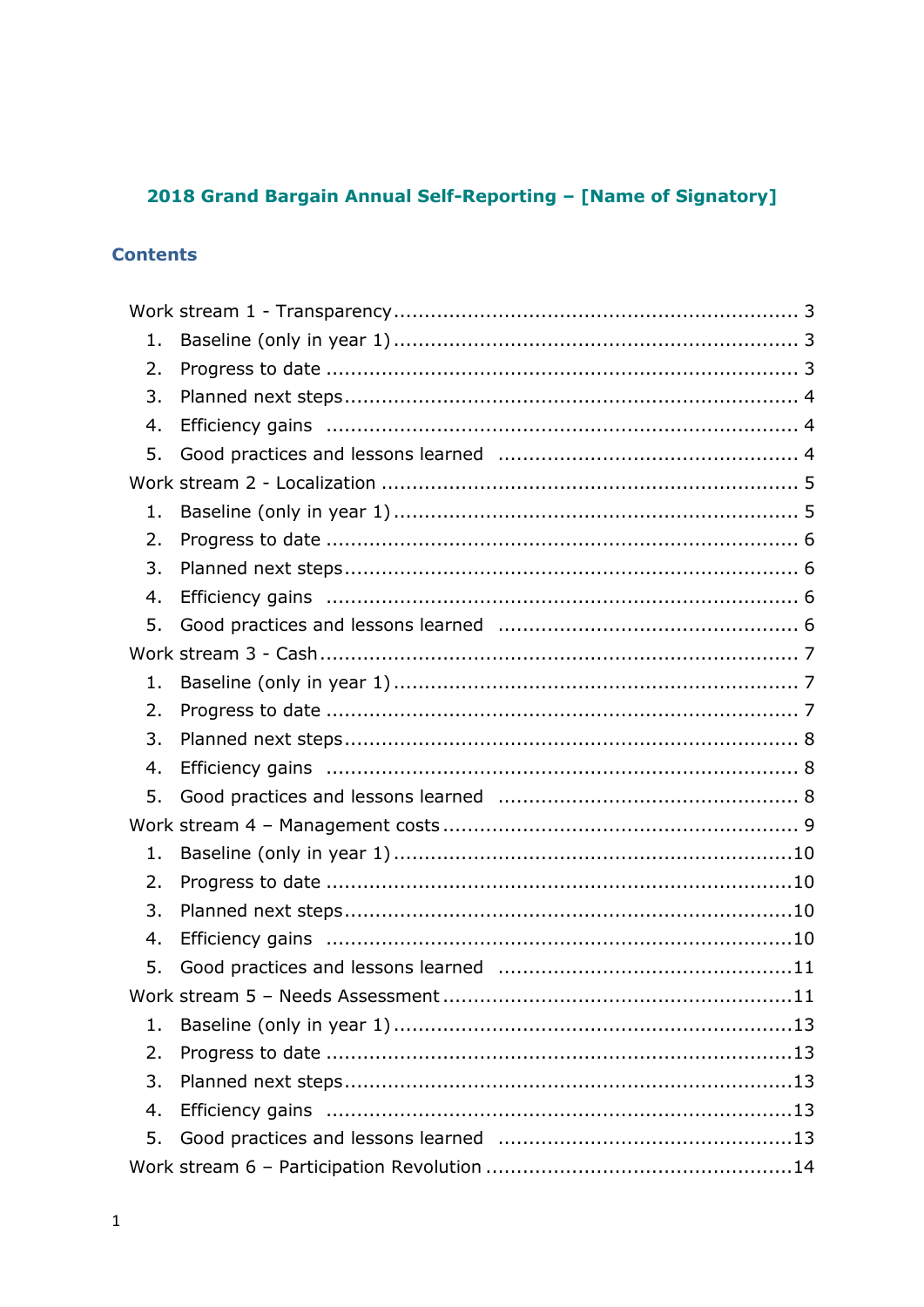# 2018 Grand Bargain Annual Self-Reporting - [Name of Signatory]

# **Contents**

| 1. |  |
|----|--|
| 2. |  |
| 3. |  |
| 4. |  |
| 5. |  |
|    |  |
| 1. |  |
| 2. |  |
| 3. |  |
| 4. |  |
| 5. |  |
|    |  |
| 1. |  |
| 2. |  |
| 3. |  |
| 4. |  |
| 5. |  |
|    |  |
| 1. |  |
| 2. |  |
| 3. |  |
| 4. |  |
| 5. |  |
|    |  |
| 1. |  |
| 2. |  |
| 3. |  |
| 4. |  |
| 5. |  |
|    |  |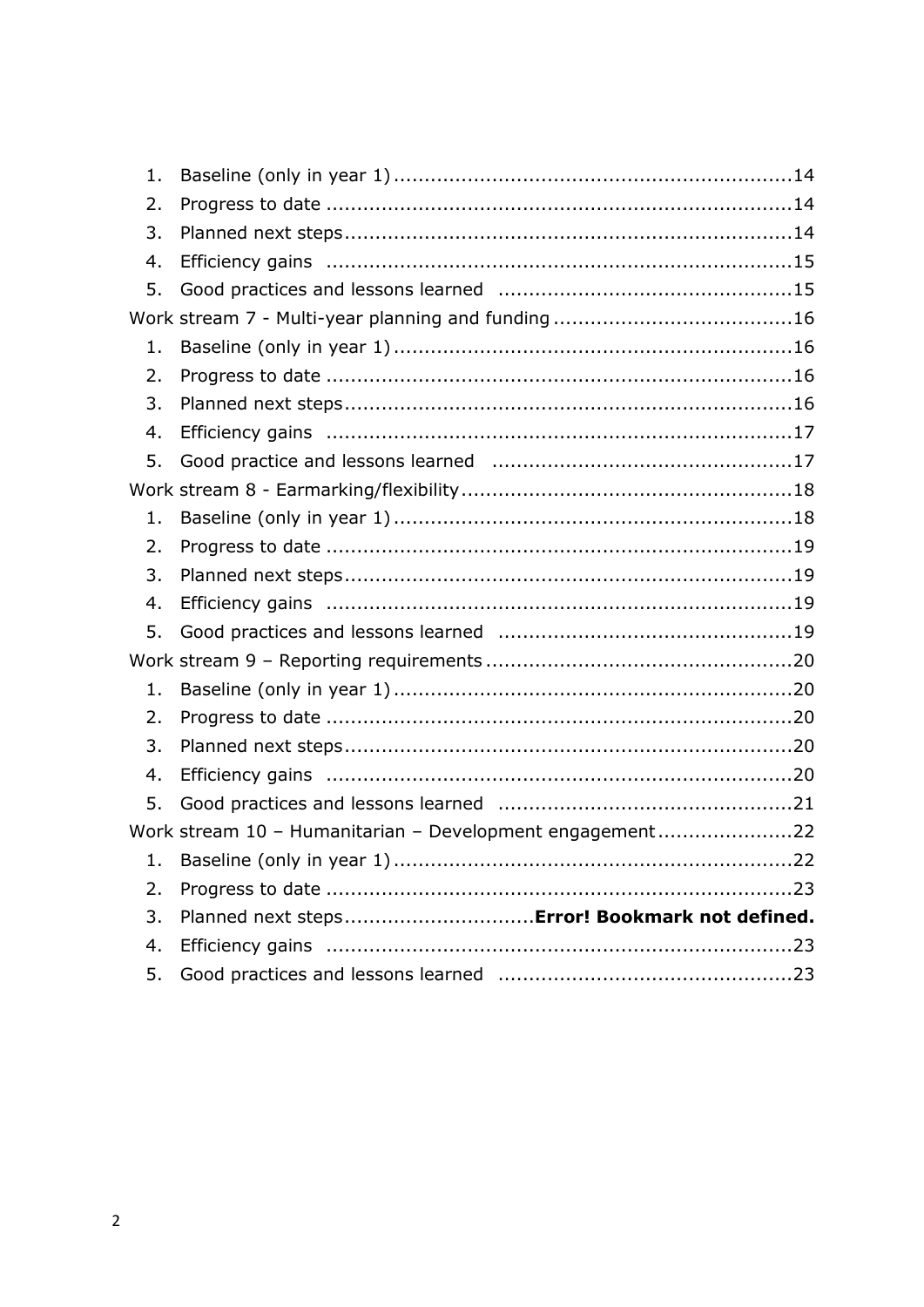| 1. |                                                          |  |
|----|----------------------------------------------------------|--|
| 2. |                                                          |  |
| 3. |                                                          |  |
| 4. |                                                          |  |
| 5. |                                                          |  |
|    |                                                          |  |
| 1. |                                                          |  |
| 2. |                                                          |  |
| 3. |                                                          |  |
| 4. |                                                          |  |
| 5. |                                                          |  |
|    |                                                          |  |
| 1. |                                                          |  |
| 2. |                                                          |  |
| 3. |                                                          |  |
| 4. |                                                          |  |
| 5. |                                                          |  |
|    |                                                          |  |
| 1. |                                                          |  |
| 2. |                                                          |  |
| 3. |                                                          |  |
| 4. |                                                          |  |
| 5. |                                                          |  |
|    | Work stream 10 - Humanitarian - Development engagement22 |  |
|    |                                                          |  |
| 2. |                                                          |  |
| 3. | Planned next steps Error! Bookmark not defined.          |  |
| 4. |                                                          |  |
| 5. |                                                          |  |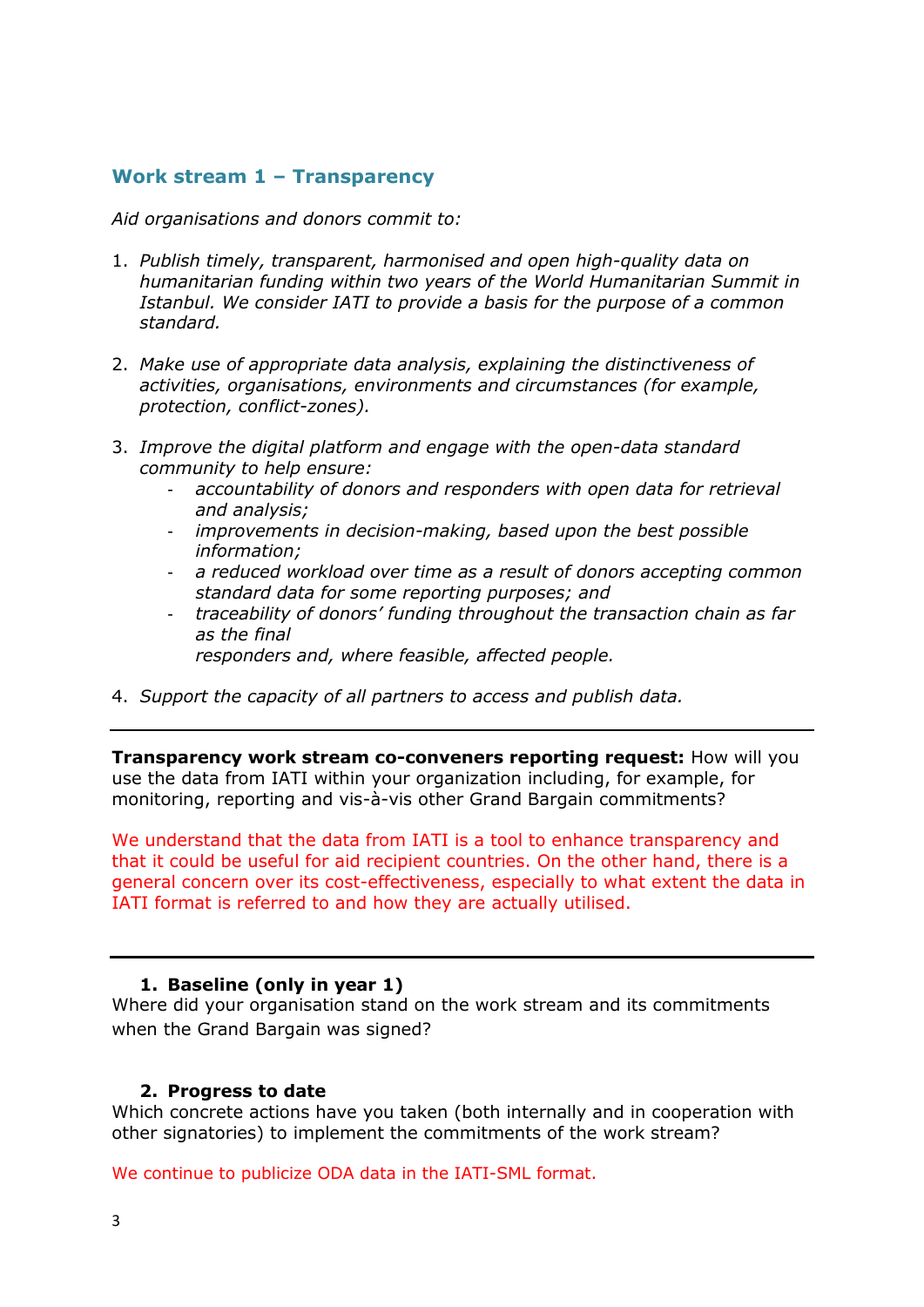# <span id="page-2-0"></span>**Work stream 1 – Transparency**

<span id="page-2-1"></span>*Aid organisations and donors commit to:*

- 1. *Publish timely, transparent, harmonised and open high-quality data on humanitarian funding within two years of the World Humanitarian Summit in Istanbul. We consider IATI to provide a basis for the purpose of a common standard.*
- 2. *Make use of appropriate data analysis, explaining the distinctiveness of activities, organisations, environments and circumstances (for example, protection, conflict-zones).*
- 3. *Improve the digital platform and engage with the open-data standard community to help ensure:*
	- *accountability of donors and responders with open data for retrieval and analysis;*
	- *improvements in decision-making, based upon the best possible information;*
	- *a reduced workload over time as a result of donors accepting common standard data for some reporting purposes; and*
	- *traceability of donors' funding throughout the transaction chain as far as the final*

*responders and, where feasible, affected people.*

4. *Support the capacity of all partners to access and publish data.* 

**Transparency work stream co-conveners reporting request:** How will you use the data from IATI within your organization including, for example, for monitoring, reporting and vis-à-vis other Grand Bargain commitments?

We understand that the data from IATI is a tool to enhance transparency and that it could be useful for aid recipient countries. On the other hand, there is a general concern over its cost-effectiveness, especially to what extent the data in IATI format is referred to and how they are actually utilised.

## **1. Baseline (only in year 1)**

Where did your organisation stand on the work stream and its commitments when the Grand Bargain was signed?

## <span id="page-2-2"></span>**2. Progress to date**

Which concrete actions have you taken (both internally and in cooperation with other signatories) to implement the commitments of the work stream?

We continue to publicize ODA data in the IATI-SML format.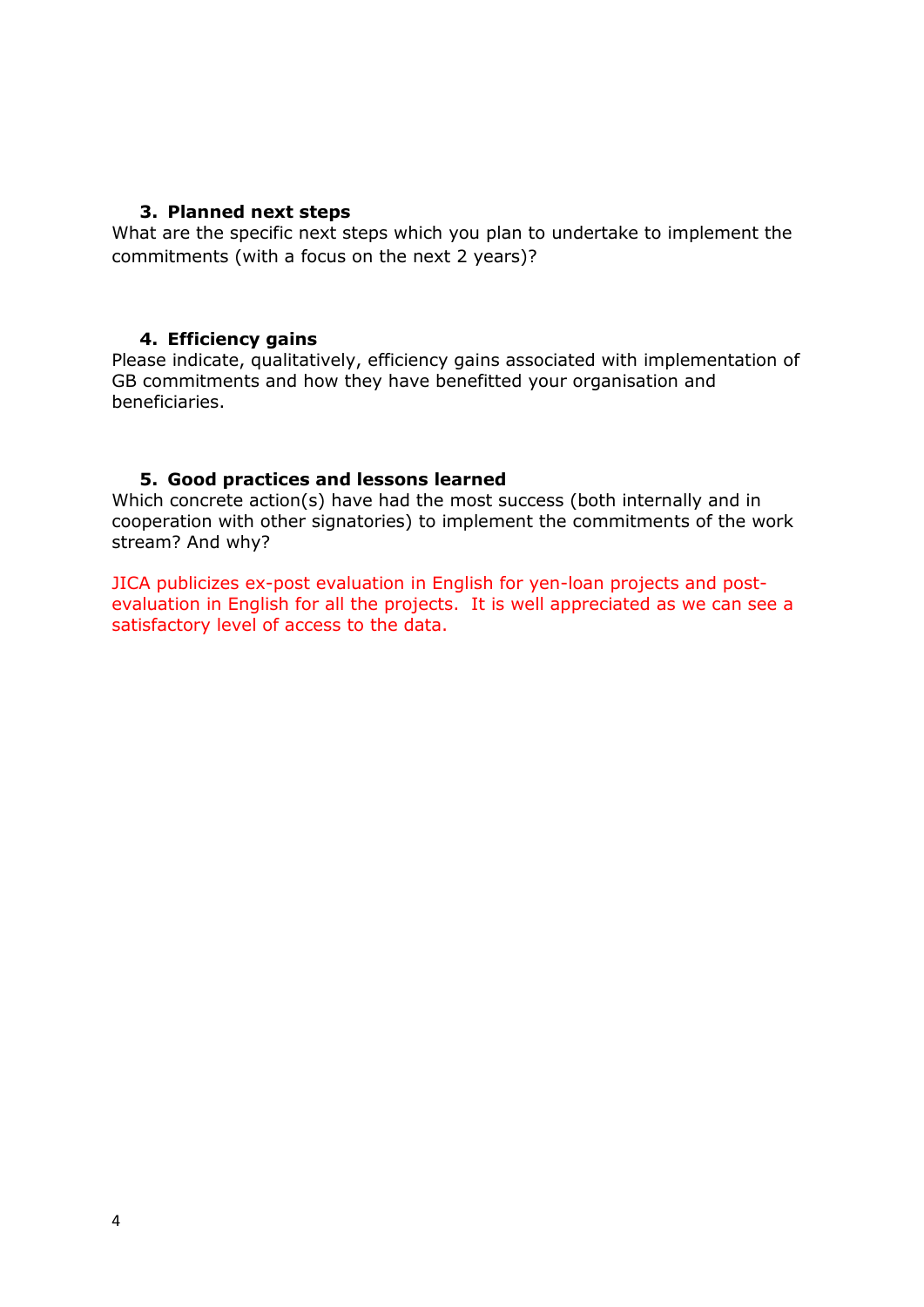## <span id="page-3-0"></span>**3. Planned next steps**

What are the specific next steps which you plan to undertake to implement the commitments (with a focus on the next 2 years)?

#### <span id="page-3-1"></span>**4. Efficiency gains**

Please indicate, qualitatively, efficiency gains associated with implementation of GB commitments and how they have benefitted your organisation and beneficiaries.

## <span id="page-3-2"></span>**5. Good practices and lessons learned**

Which concrete action(s) have had the most success (both internally and in cooperation with other signatories) to implement the commitments of the work stream? And why?

JICA publicizes ex-post evaluation in English for yen-loan projects and postevaluation in English for all the projects. It is well appreciated as we can see a satisfactory level of access to the data.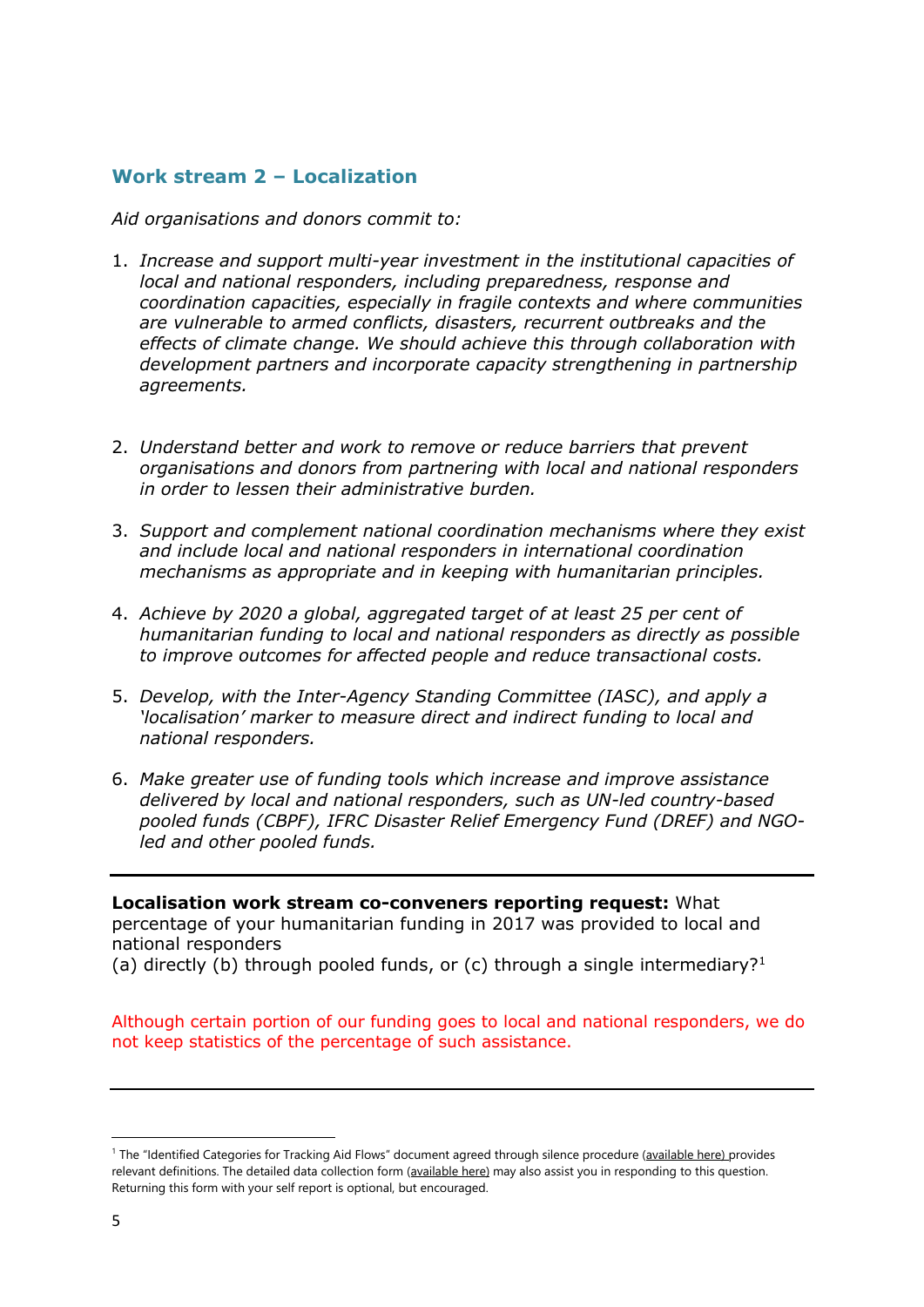# <span id="page-4-0"></span>**Work stream 2 – Localization**

*Aid organisations and donors commit to:*

- 1. *Increase and support multi-year investment in the institutional capacities of local and national responders, including preparedness, response and coordination capacities, especially in fragile contexts and where communities are vulnerable to armed conflicts, disasters, recurrent outbreaks and the effects of climate change. We should achieve this through collaboration with development partners and incorporate capacity strengthening in partnership agreements.*
- 2. *Understand better and work to remove or reduce barriers that prevent organisations and donors from partnering with local and national responders in order to lessen their administrative burden.*
- 3. *Support and complement national coordination mechanisms where they exist and include local and national responders in international coordination mechanisms as appropriate and in keeping with humanitarian principles.*
- 4. *Achieve by 2020 a global, aggregated target of at least 25 per cent of humanitarian funding to local and national responders as directly as possible to improve outcomes for affected people and reduce transactional costs.*
- 5. *Develop, with the Inter-Agency Standing Committee (IASC), and apply a 'localisation' marker to measure direct and indirect funding to local and national responders.*
- 6. *Make greater use of funding tools which increase and improve assistance delivered by local and national responders, such as UN-led country-based pooled funds (CBPF), IFRC Disaster Relief Emergency Fund (DREF) and NGOled and other pooled funds.*

<span id="page-4-1"></span>**Localisation work stream co-conveners reporting request:** What percentage of your humanitarian funding in 2017 was provided to local and national responders

(a) directly (b) through pooled funds, or (c) through a single intermediary?<sup>1</sup>

Although certain portion of our funding goes to local and national responders, we do not keep statistics of the percentage of such assistance.

1

<sup>&</sup>lt;sup>1</sup> The "Identified Categories for Tracking Aid Flows" document agreed through silence procedure ([available here\)](https://interagencystandingcommittee.org/grand-bargain-hosted-iasc/documents/categories-tracking-funding-flows) provides relevant definitions. The detailed data collection form [\(available here\)](https://interagencystandingcommittee.org/grand-bargain-hosted-iasc/documents/localization-data-collection-form) may also assist you in responding to this question. Returning this form with your self report is optional, but encouraged.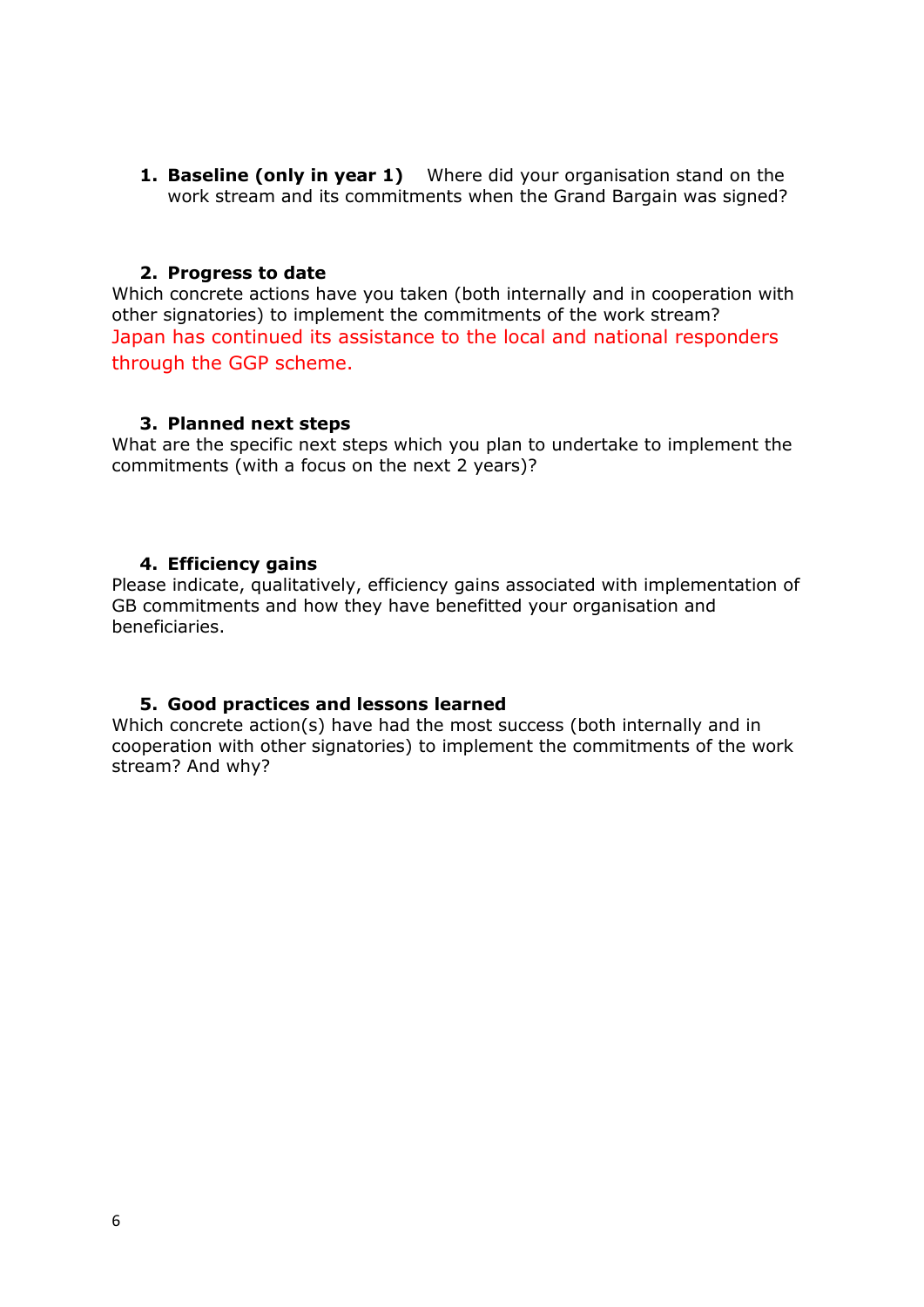**1. Baseline (only in year 1)** Where did your organisation stand on the work stream and its commitments when the Grand Bargain was signed?

#### <span id="page-5-0"></span>**2. Progress to date**

Which concrete actions have you taken (both internally and in cooperation with other signatories) to implement the commitments of the work stream? Japan has continued its assistance to the local and national responders through the GGP scheme.

#### <span id="page-5-1"></span>**3. Planned next steps**

What are the specific next steps which you plan to undertake to implement the commitments (with a focus on the next 2 years)?

## <span id="page-5-2"></span>**4. Efficiency gains**

Please indicate, qualitatively, efficiency gains associated with implementation of GB commitments and how they have benefitted your organisation and beneficiaries.

## <span id="page-5-3"></span>**5. Good practices and lessons learned**

Which concrete action(s) have had the most success (both internally and in cooperation with other signatories) to implement the commitments of the work stream? And why?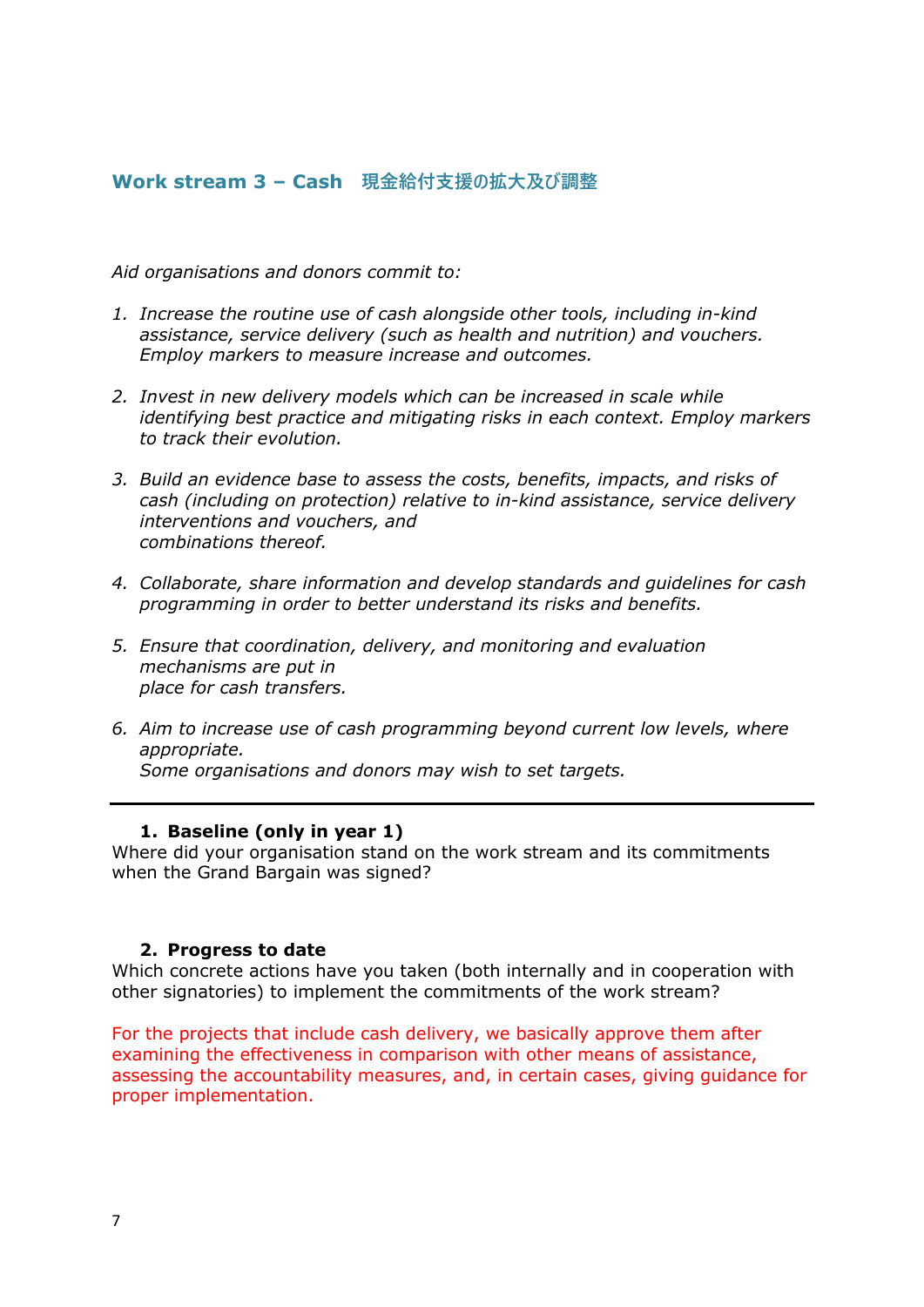# <span id="page-6-0"></span>**Work stream 3 – Cash 現金給付支援の拡大及び調整**

*Aid organisations and donors commit to:*

- *1. Increase the routine use of cash alongside other tools, including in-kind assistance, service delivery (such as health and nutrition) and vouchers. Employ markers to measure increase and outcomes.*
- *2. Invest in new delivery models which can be increased in scale while identifying best practice and mitigating risks in each context. Employ markers to track their evolution.*
- *3. Build an evidence base to assess the costs, benefits, impacts, and risks of cash (including on protection) relative to in-kind assistance, service delivery interventions and vouchers, and combinations thereof.*
- *4. Collaborate, share information and develop standards and guidelines for cash programming in order to better understand its risks and benefits.*
- *5. Ensure that coordination, delivery, and monitoring and evaluation mechanisms are put in place for cash transfers.*
- *6. Aim to increase use of cash programming beyond current low levels, where appropriate. Some organisations and donors may wish to set targets.*

#### <span id="page-6-1"></span>**1. Baseline (only in year 1)**

Where did your organisation stand on the work stream and its commitments when the Grand Bargain was signed?

#### <span id="page-6-2"></span>**2. Progress to date**

Which concrete actions have you taken (both internally and in cooperation with other signatories) to implement the commitments of the work stream?

For the projects that include cash delivery, we basically approve them after examining the effectiveness in comparison with other means of assistance, assessing the accountability measures, and, in certain cases, giving guidance for proper implementation.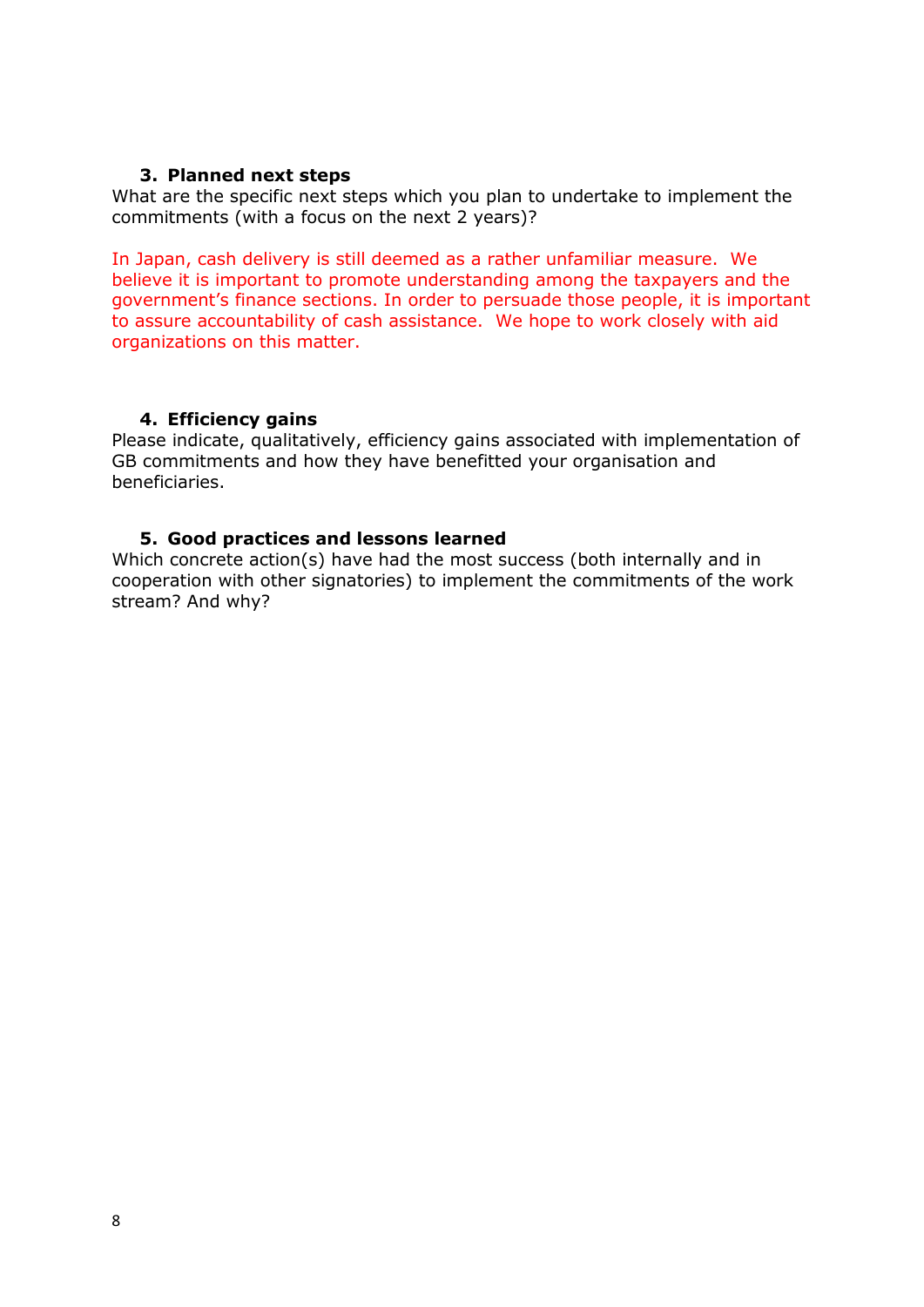## **3. Planned next steps**

<span id="page-7-0"></span>What are the specific next steps which you plan to undertake to implement the commitments (with a focus on the next 2 years)?

In Japan, cash delivery is still deemed as a rather unfamiliar measure. We believe it is important to promote understanding among the taxpayers and the government's finance sections. In order to persuade those people, it is important to assure accountability of cash assistance. We hope to work closely with aid organizations on this matter.

#### <span id="page-7-1"></span>**4. Efficiency gains**

Please indicate, qualitatively, efficiency gains associated with implementation of GB commitments and how they have benefitted your organisation and beneficiaries.

#### <span id="page-7-2"></span>**5. Good practices and lessons learned**

Which concrete action(s) have had the most success (both internally and in cooperation with other signatories) to implement the commitments of the work stream? And why?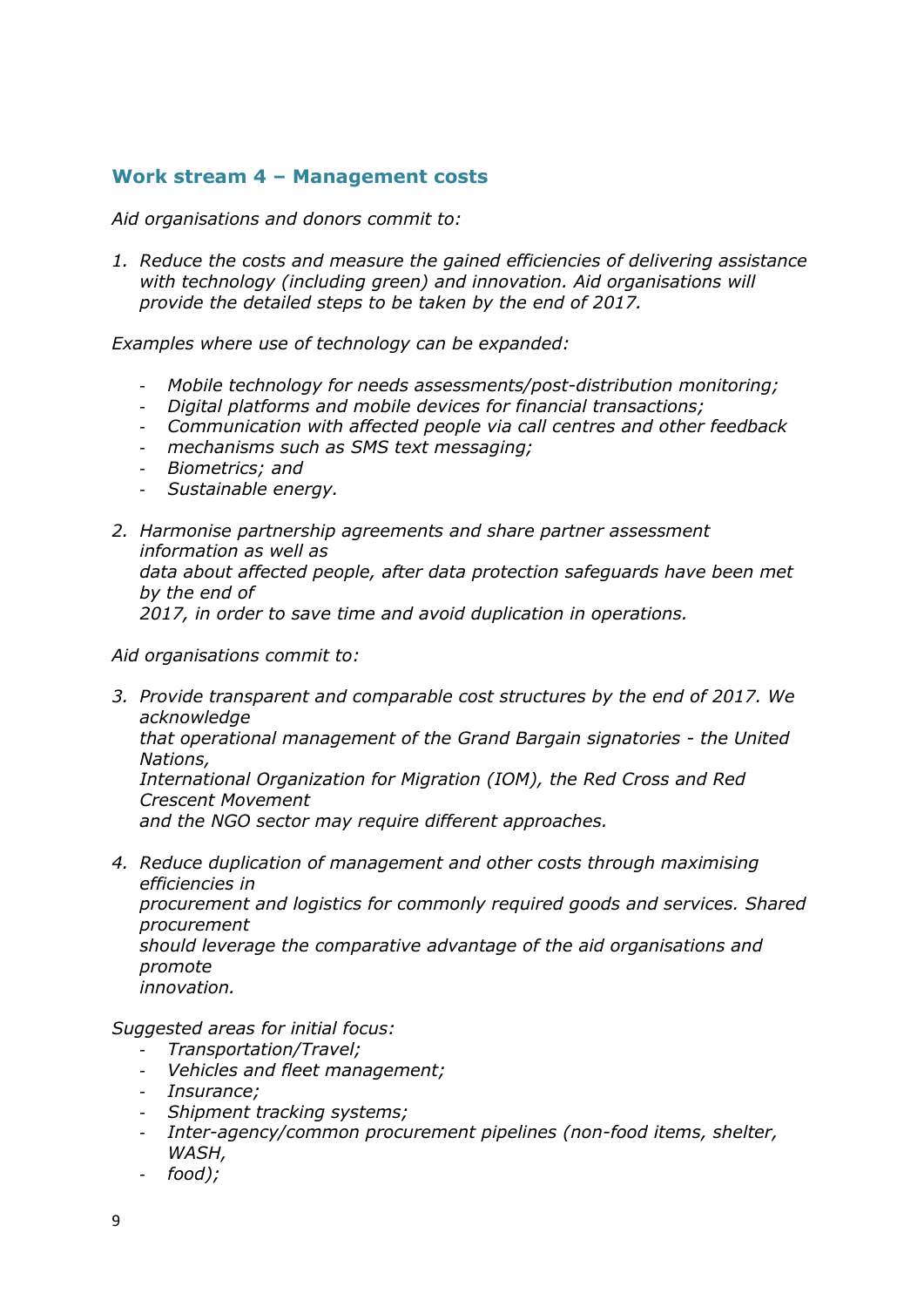# <span id="page-8-0"></span>**Work stream 4 – Management costs**

*Aid organisations and donors commit to:*

*1. Reduce the costs and measure the gained efficiencies of delivering assistance with technology (including green) and innovation. Aid organisations will provide the detailed steps to be taken by the end of 2017.*

*Examples where use of technology can be expanded:*

- *Mobile technology for needs assessments/post-distribution monitoring;*
- *Digital platforms and mobile devices for financial transactions;*
- *Communication with affected people via call centres and other feedback*
- *mechanisms such as SMS text messaging;*
- *Biometrics; and*
- *Sustainable energy.*
- *2. Harmonise partnership agreements and share partner assessment information as well as data about affected people, after data protection safeguards have been met by the end of 2017, in order to save time and avoid duplication in operations.*

*Aid organisations commit to:*

- *3. Provide transparent and comparable cost structures by the end of 2017. We acknowledge that operational management of the Grand Bargain signatories - the United Nations, International Organization for Migration (IOM), the Red Cross and Red Crescent Movement and the NGO sector may require different approaches.*
- *4. Reduce duplication of management and other costs through maximising efficiencies in procurement and logistics for commonly required goods and services. Shared procurement should leverage the comparative advantage of the aid organisations and promote innovation.*

*Suggested areas for initial focus:*

- *Transportation/Travel;*
- *Vehicles and fleet management;*
- *Insurance;*
- *Shipment tracking systems;*
- *Inter-agency/common procurement pipelines (non-food items, shelter, WASH,*
- *food);*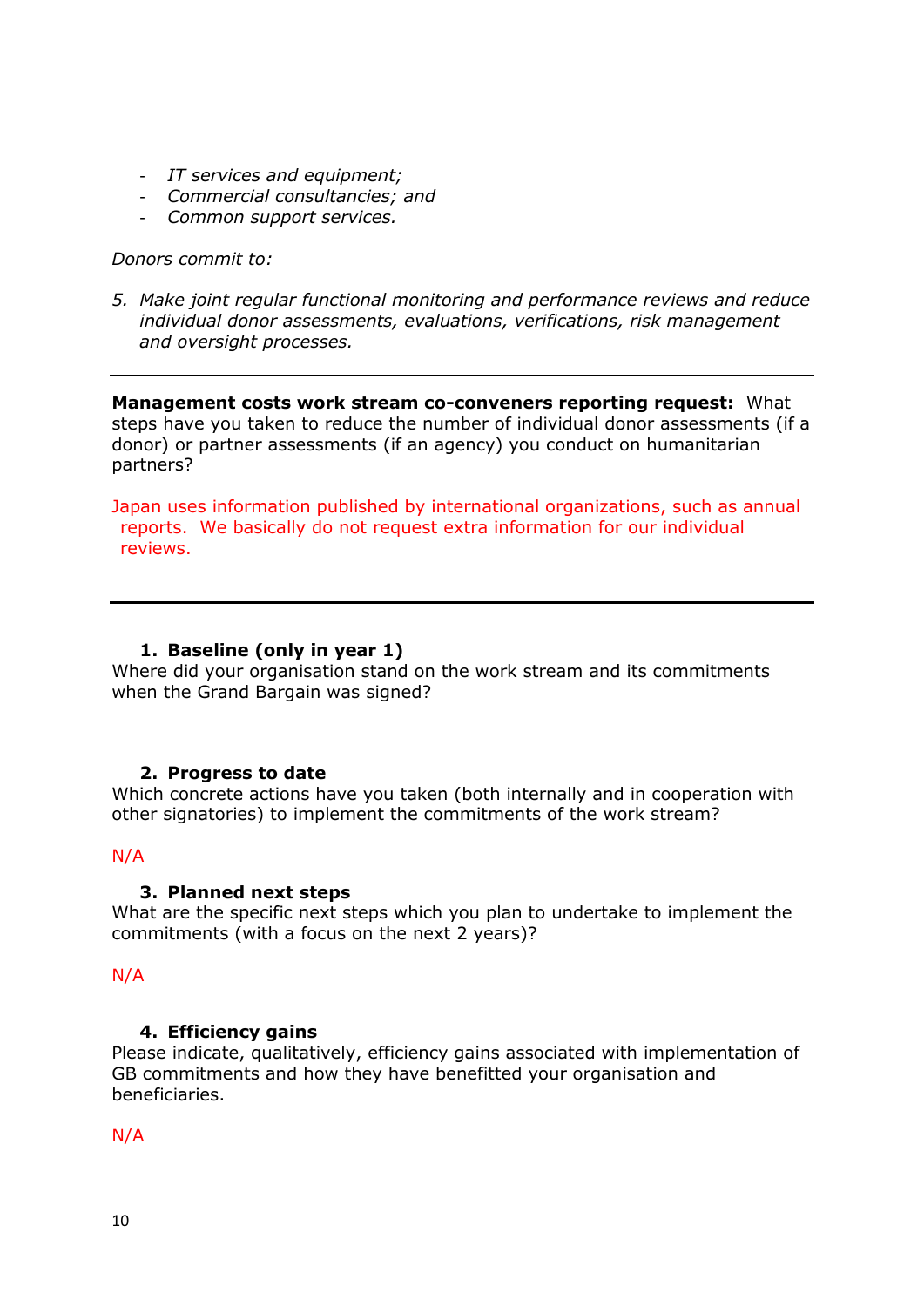- *IT services and equipment;*
- *Commercial consultancies; and*
- *Common support services.*

#### *Donors commit to:*

*5. Make joint regular functional monitoring and performance reviews and reduce individual donor assessments, evaluations, verifications, risk management and oversight processes.*

**Management costs work stream co-conveners reporting request:** What steps have you taken to reduce the number of individual donor assessments (if a donor) or partner assessments (if an agency) you conduct on humanitarian partners?

Japan uses information published by international organizations, such as annual reports. We basically do not request extra information for our individual reviews.

### <span id="page-9-0"></span>**1. Baseline (only in year 1)**

Where did your organisation stand on the work stream and its commitments when the Grand Bargain was signed?

#### <span id="page-9-1"></span>**2. Progress to date**

Which concrete actions have you taken (both internally and in cooperation with other signatories) to implement the commitments of the work stream?

## <span id="page-9-2"></span>N/A

#### **3. Planned next steps**

What are the specific next steps which you plan to undertake to implement the commitments (with a focus on the next 2 years)?

#### N/A

#### <span id="page-9-3"></span>**4. Efficiency gains**

Please indicate, qualitatively, efficiency gains associated with implementation of GB commitments and how they have benefitted your organisation and beneficiaries.

#### N/A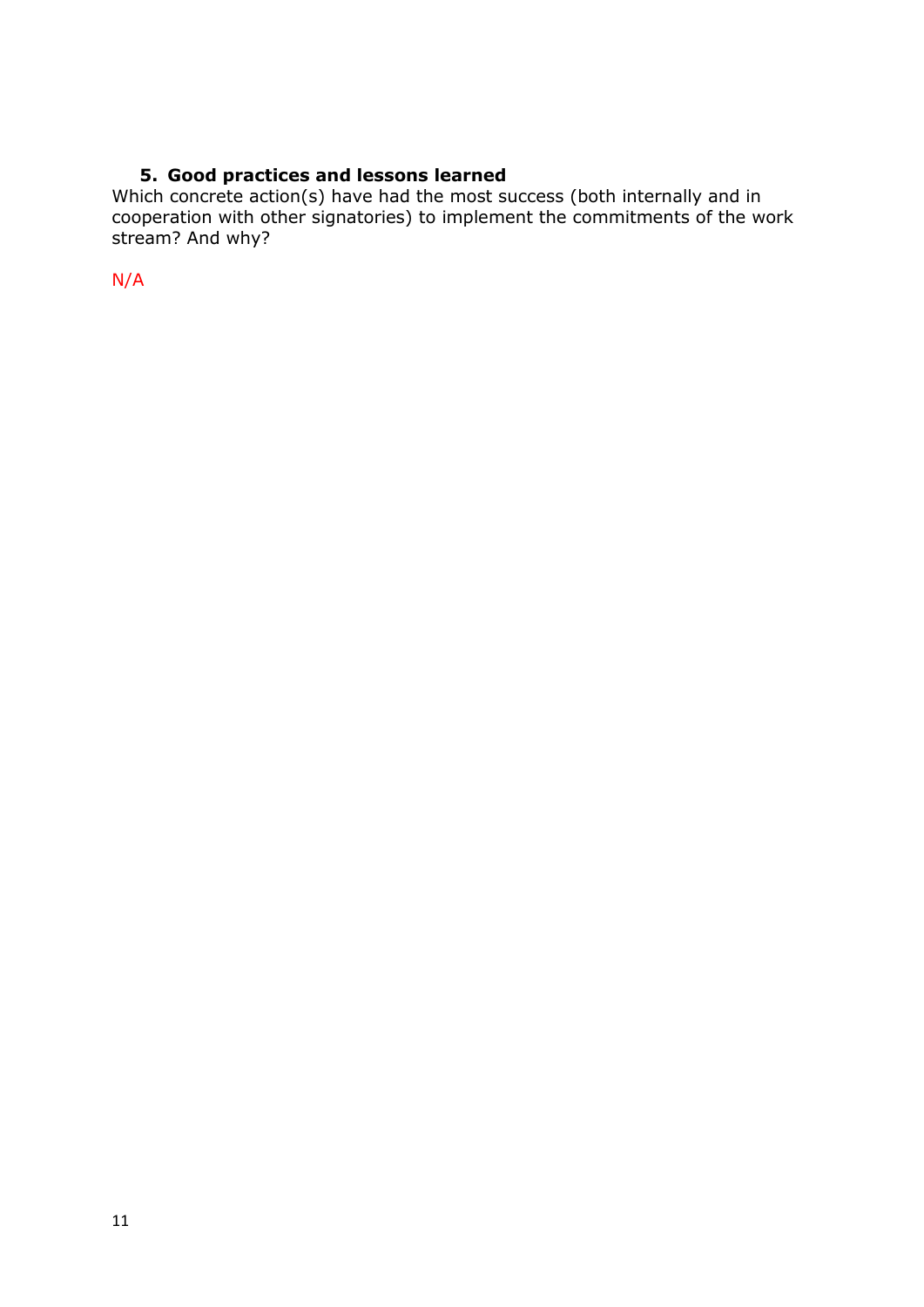# **5. Good practices and lessons learned**

<span id="page-10-0"></span>Which concrete action(s) have had the most success (both internally and in cooperation with other signatories) to implement the commitments of the work stream? And why?

<span id="page-10-1"></span>N/A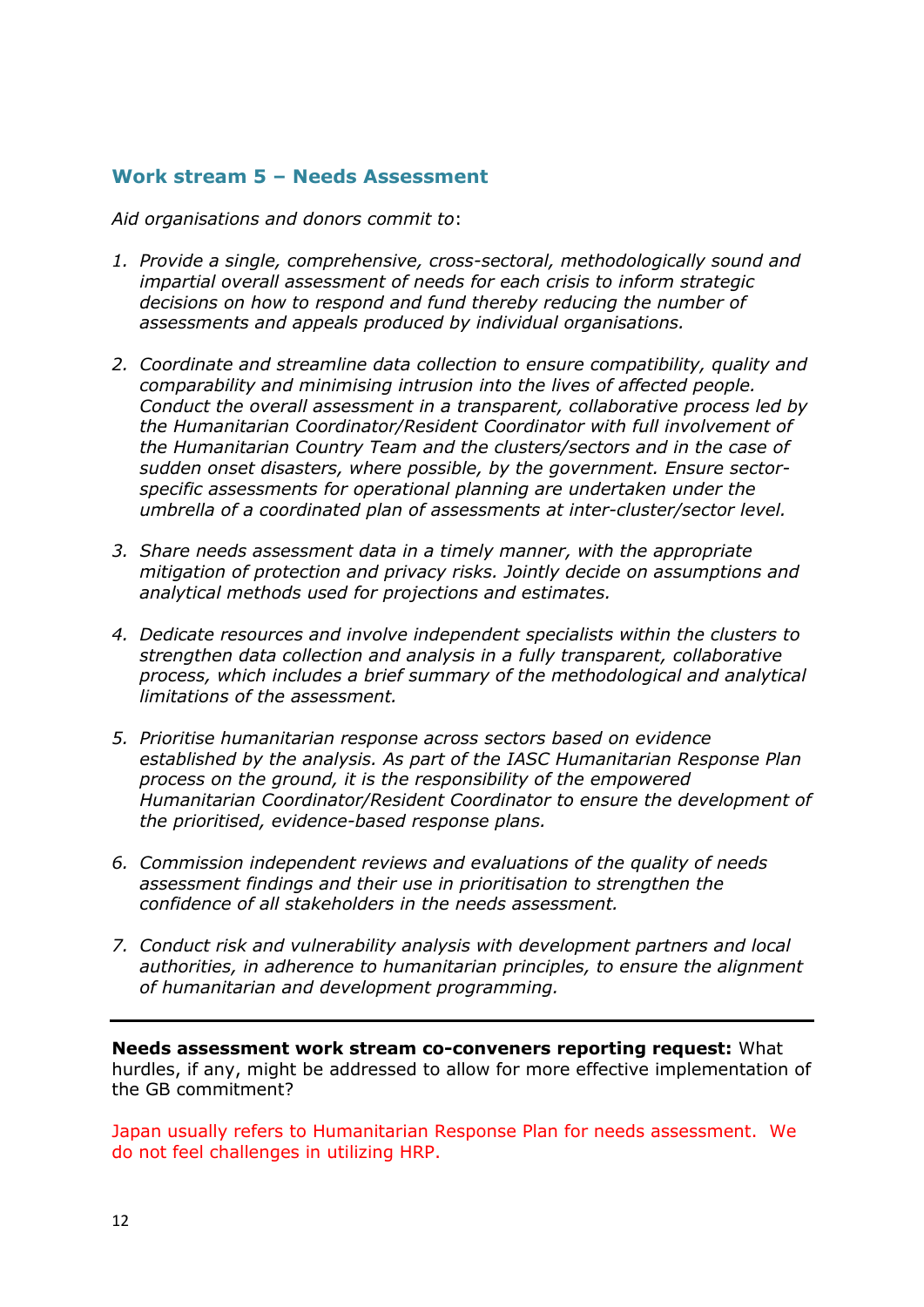# **Work stream 5 – Needs Assessment**

*Aid organisations and donors commit to*:

- *1. Provide a single, comprehensive, cross-sectoral, methodologically sound and impartial overall assessment of needs for each crisis to inform strategic decisions on how to respond and fund thereby reducing the number of assessments and appeals produced by individual organisations.*
- *2. Coordinate and streamline data collection to ensure compatibility, quality and comparability and minimising intrusion into the lives of affected people. Conduct the overall assessment in a transparent, collaborative process led by the Humanitarian Coordinator/Resident Coordinator with full involvement of the Humanitarian Country Team and the clusters/sectors and in the case of sudden onset disasters, where possible, by the government. Ensure sectorspecific assessments for operational planning are undertaken under the umbrella of a coordinated plan of assessments at inter-cluster/sector level.*
- *3. Share needs assessment data in a timely manner, with the appropriate mitigation of protection and privacy risks. Jointly decide on assumptions and analytical methods used for projections and estimates.*
- *4. Dedicate resources and involve independent specialists within the clusters to strengthen data collection and analysis in a fully transparent, collaborative process, which includes a brief summary of the methodological and analytical limitations of the assessment.*
- *5. Prioritise humanitarian response across sectors based on evidence established by the analysis. As part of the IASC Humanitarian Response Plan process on the ground, it is the responsibility of the empowered Humanitarian Coordinator/Resident Coordinator to ensure the development of the prioritised, evidence-based response plans.*
- *6. Commission independent reviews and evaluations of the quality of needs assessment findings and their use in prioritisation to strengthen the confidence of all stakeholders in the needs assessment.*
- *7. Conduct risk and vulnerability analysis with development partners and local authorities, in adherence to humanitarian principles, to ensure the alignment of humanitarian and development programming.*

**Needs assessment work stream co-conveners reporting request:** What hurdles, if any, might be addressed to allow for more effective implementation of the GB commitment?

Japan usually refers to Humanitarian Response Plan for needs assessment. We do not feel challenges in utilizing HRP.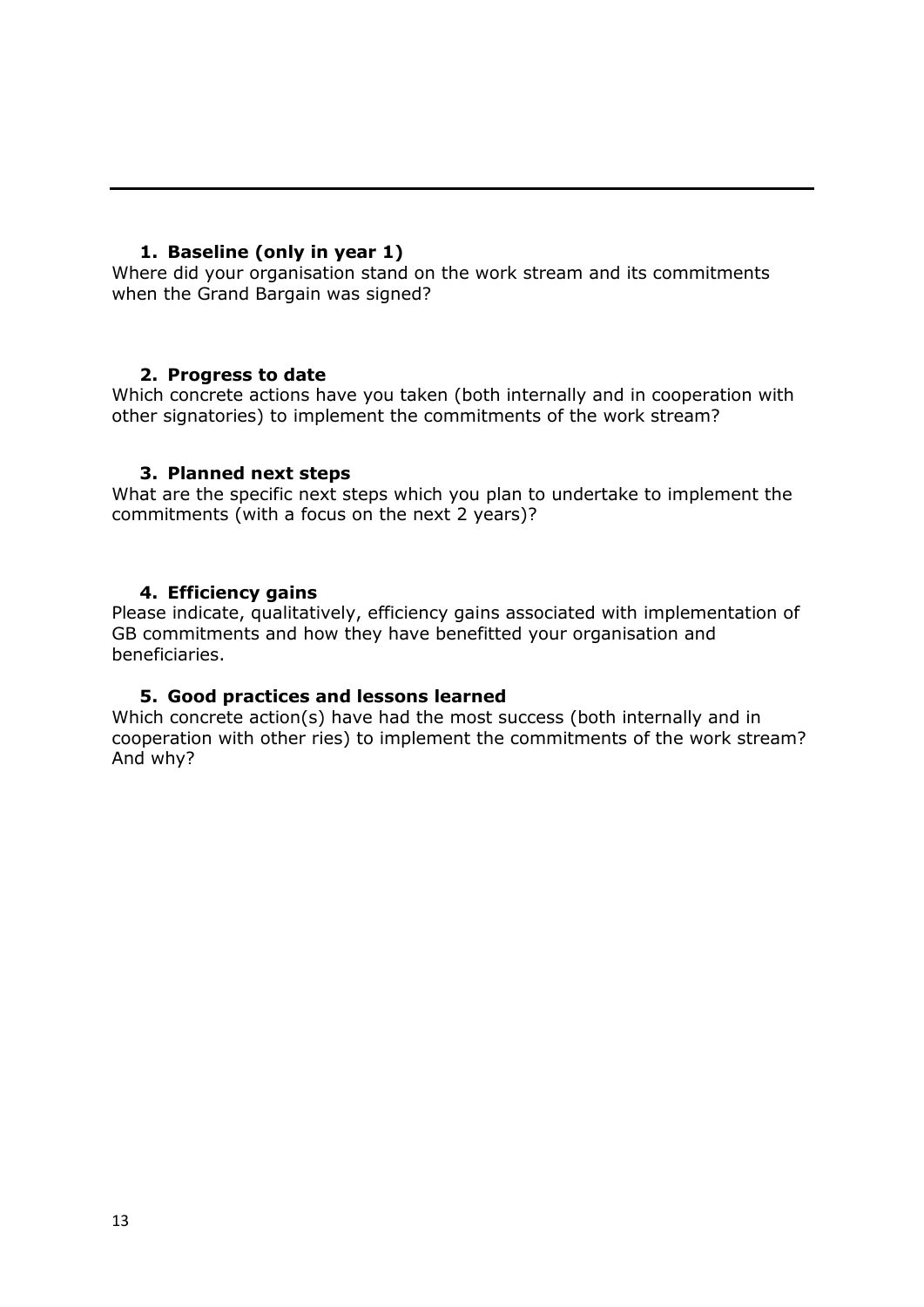# <span id="page-12-0"></span>**1. Baseline (only in year 1)**

Where did your organisation stand on the work stream and its commitments when the Grand Bargain was signed?

## <span id="page-12-1"></span>**2. Progress to date**

Which concrete actions have you taken (both internally and in cooperation with other signatories) to implement the commitments of the work stream?

#### <span id="page-12-2"></span>**3. Planned next steps**

What are the specific next steps which you plan to undertake to implement the commitments (with a focus on the next 2 years)?

#### <span id="page-12-3"></span>**4. Efficiency gains**

Please indicate, qualitatively, efficiency gains associated with implementation of GB commitments and how they have benefitted your organisation and beneficiaries.

#### **5. Good practices and lessons learned**

<span id="page-12-4"></span>Which concrete action(s) have had the most success (both internally and in cooperation with other ries) to implement the commitments of the work stream? And why?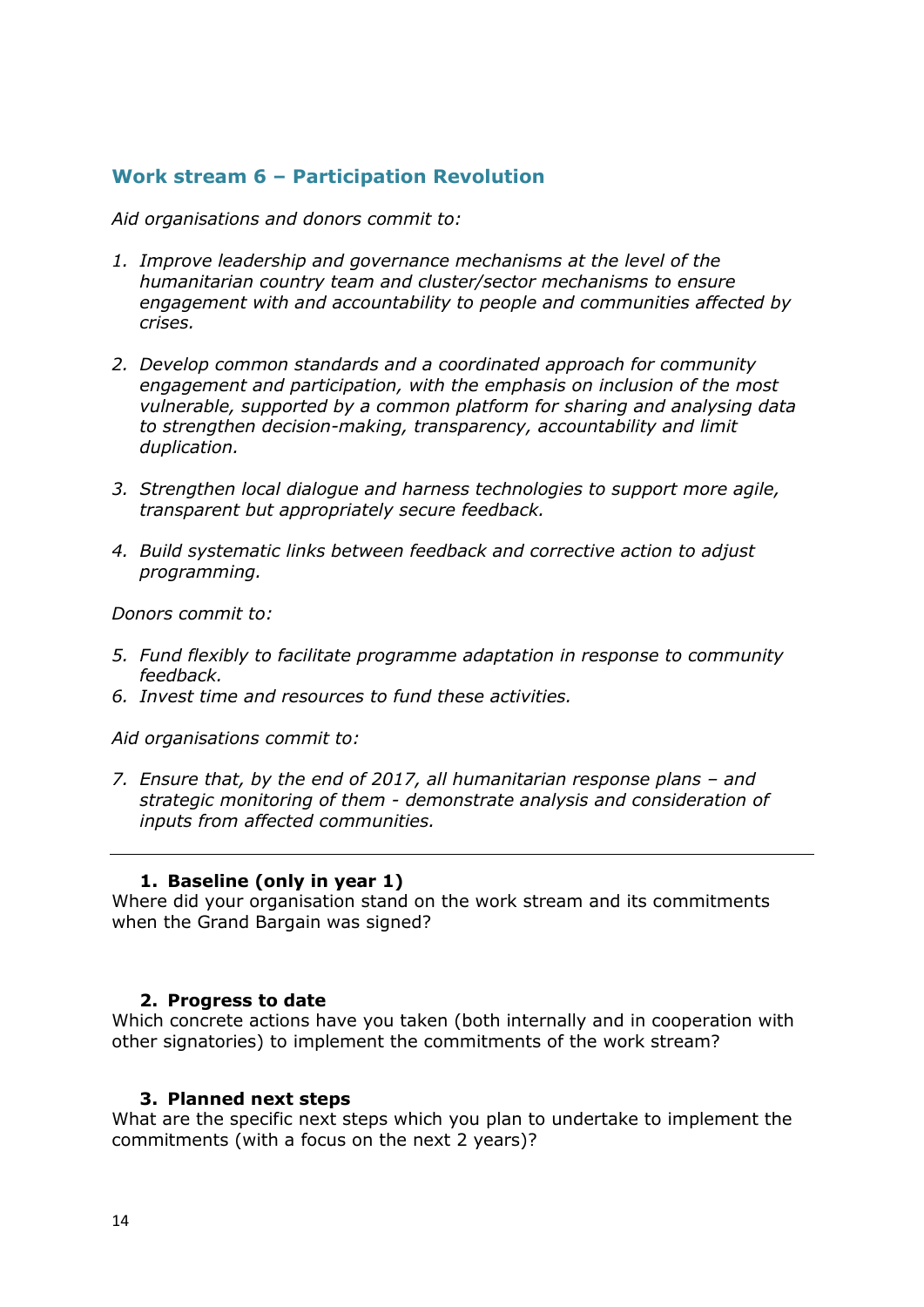# <span id="page-13-1"></span><span id="page-13-0"></span>**Work stream 6 – Participation Revolution**

*Aid organisations and donors commit to:*

- *1. Improve leadership and governance mechanisms at the level of the humanitarian country team and cluster/sector mechanisms to ensure engagement with and accountability to people and communities affected by crises.*
- *2. Develop common standards and a coordinated approach for community engagement and participation, with the emphasis on inclusion of the most vulnerable, supported by a common platform for sharing and analysing data to strengthen decision-making, transparency, accountability and limit duplication.*
- *3. Strengthen local dialogue and harness technologies to support more agile, transparent but appropriately secure feedback.*
- *4. Build systematic links between feedback and corrective action to adjust programming.*

*Donors commit to:*

- *5. Fund flexibly to facilitate programme adaptation in response to community feedback.*
- *6. Invest time and resources to fund these activities.*

*Aid organisations commit to:*

*7. Ensure that, by the end of 2017, all humanitarian response plans – and strategic monitoring of them - demonstrate analysis and consideration of inputs from affected communities.*

#### **1. Baseline (only in year 1)**

Where did your organisation stand on the work stream and its commitments when the Grand Bargain was signed?

#### <span id="page-13-2"></span>**2. Progress to date**

Which concrete actions have you taken (both internally and in cooperation with other signatories) to implement the commitments of the work stream?

#### <span id="page-13-3"></span>**3. Planned next steps**

What are the specific next steps which you plan to undertake to implement the commitments (with a focus on the next 2 years)?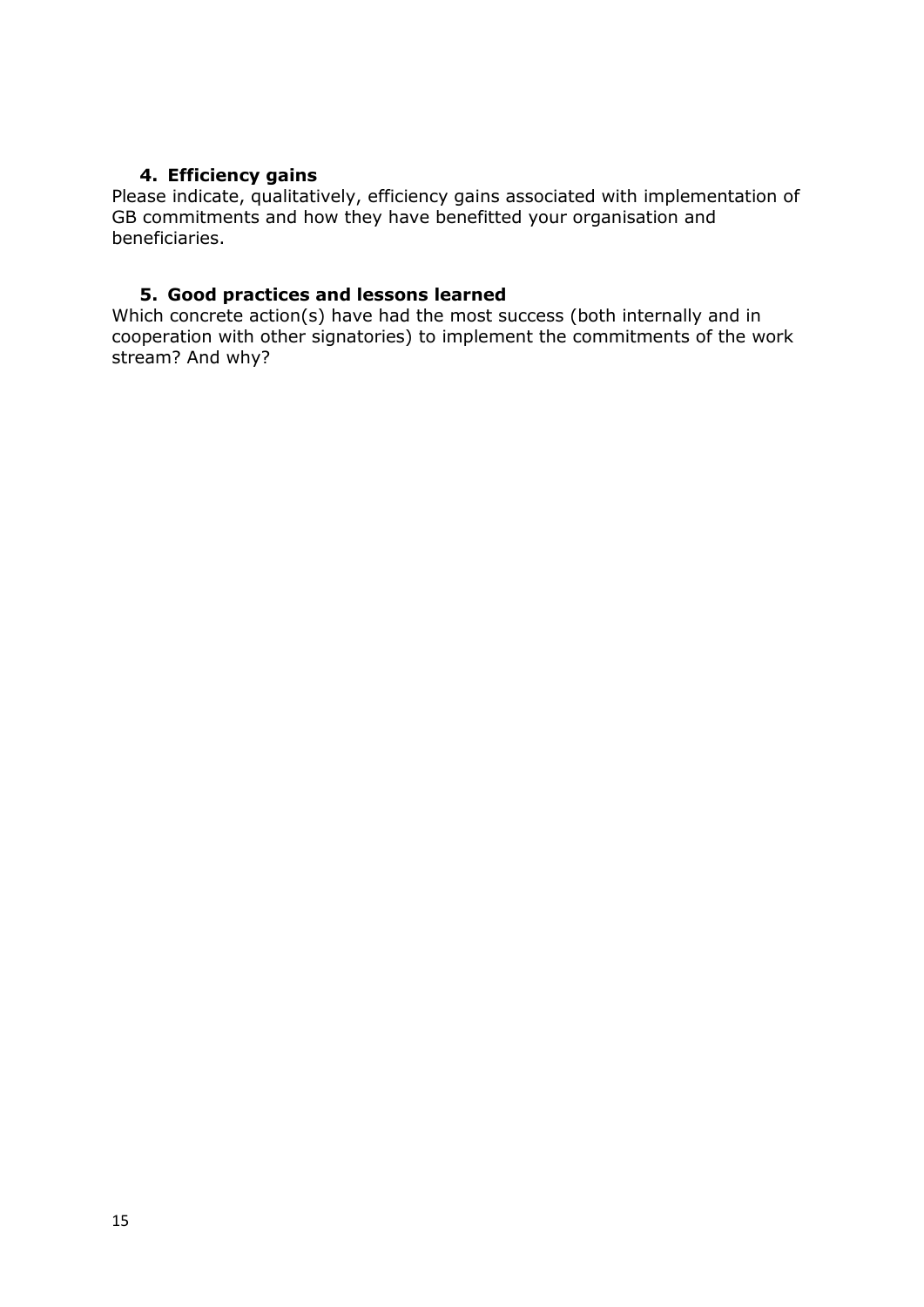# **4. Efficiency gains**

<span id="page-14-0"></span>Please indicate, qualitatively, efficiency gains associated with implementation of GB commitments and how they have benefitted your organisation and beneficiaries.

### <span id="page-14-1"></span>**5. Good practices and lessons learned**

Which concrete action(s) have had the most success (both internally and in cooperation with other signatories) to implement the commitments of the work stream? And why?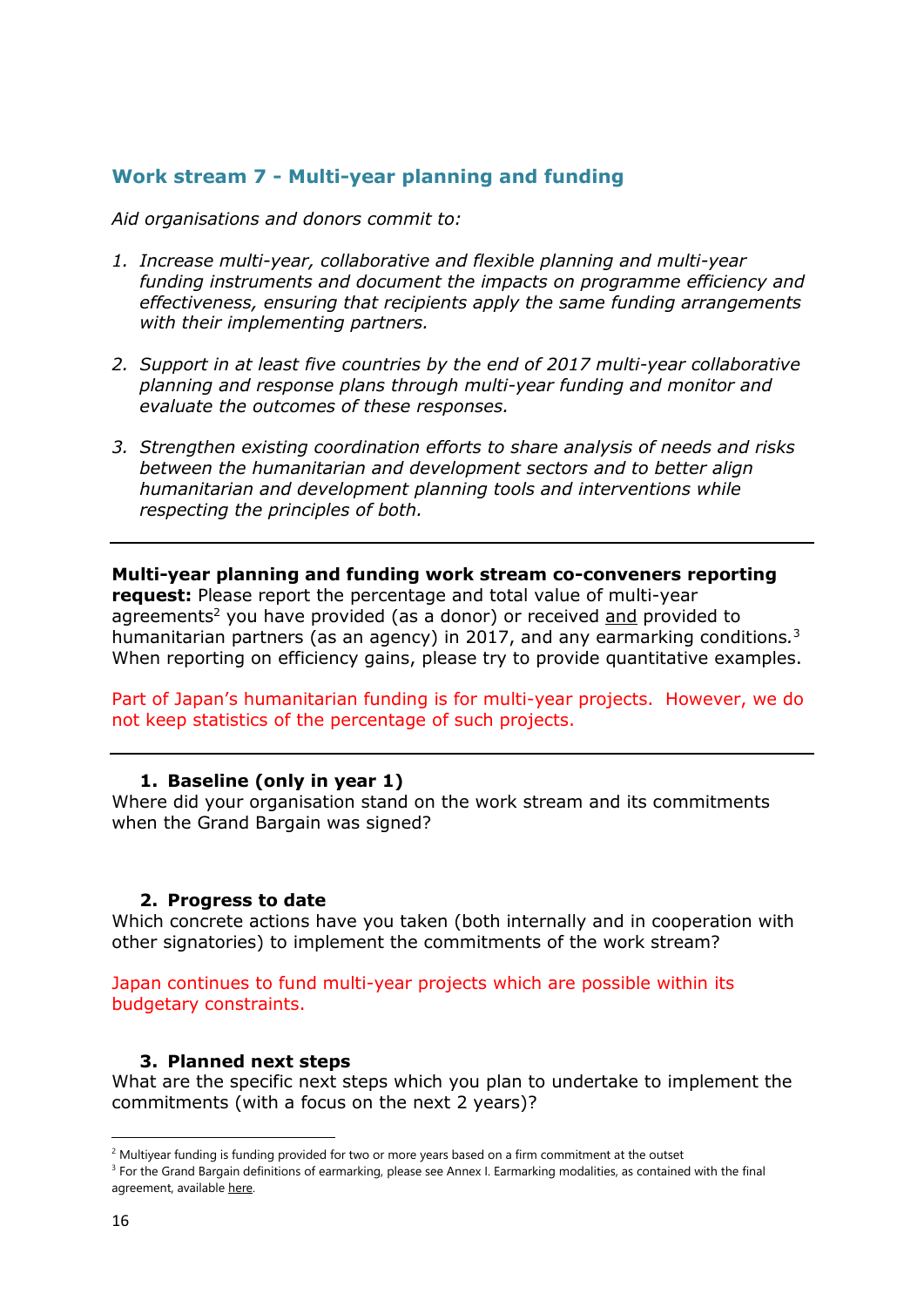# <span id="page-15-0"></span>**Work stream 7 - Multi-year planning and funding**

*Aid organisations and donors commit to:*

- *1. Increase multi-year, collaborative and flexible planning and multi-year funding instruments and document the impacts on programme efficiency and effectiveness, ensuring that recipients apply the same funding arrangements with their implementing partners.*
- *2. Support in at least five countries by the end of 2017 multi-year collaborative planning and response plans through multi-year funding and monitor and evaluate the outcomes of these responses.*
- *3. Strengthen existing coordination efforts to share analysis of needs and risks between the humanitarian and development sectors and to better align humanitarian and development planning tools and interventions while respecting the principles of both.*

<span id="page-15-1"></span>**Multi-year planning and funding work stream co-conveners reporting request:** Please report the percentage and total value of multi-year agreements<sup>2</sup> you have provided (as a donor) or received  $\frac{1}{\alpha}$  provided to humanitarian partners (as an agency) in 2017, and any earmarking conditions*.* 3 When reporting on efficiency gains, please try to provide quantitative examples.

Part of Japan's humanitarian funding is for multi-year projects. However, we do not keep statistics of the percentage of such projects.

#### **1. Baseline (only in year 1)**

Where did your organisation stand on the work stream and its commitments when the Grand Bargain was signed?

#### <span id="page-15-2"></span>**2. Progress to date**

Which concrete actions have you taken (both internally and in cooperation with other signatories) to implement the commitments of the work stream?

Japan continues to fund multi-year projects which are possible within its budgetary constraints.

#### <span id="page-15-3"></span>**3. Planned next steps**

What are the specific next steps which you plan to undertake to implement the commitments (with a focus on the next 2 years)?

1

 $2$  Multiyear funding is funding provided for two or more years based on a firm commitment at the outset

<sup>&</sup>lt;sup>3</sup> For the Grand Bargain definitions of earmarking, please see Annex I. Earmarking modalities, as contained with the final agreement, available [here.](https://interagencystandingcommittee.org/grand-bargain-hosted-iasc/documents/grand-bargain-shared-commitment-better-serve-people-need)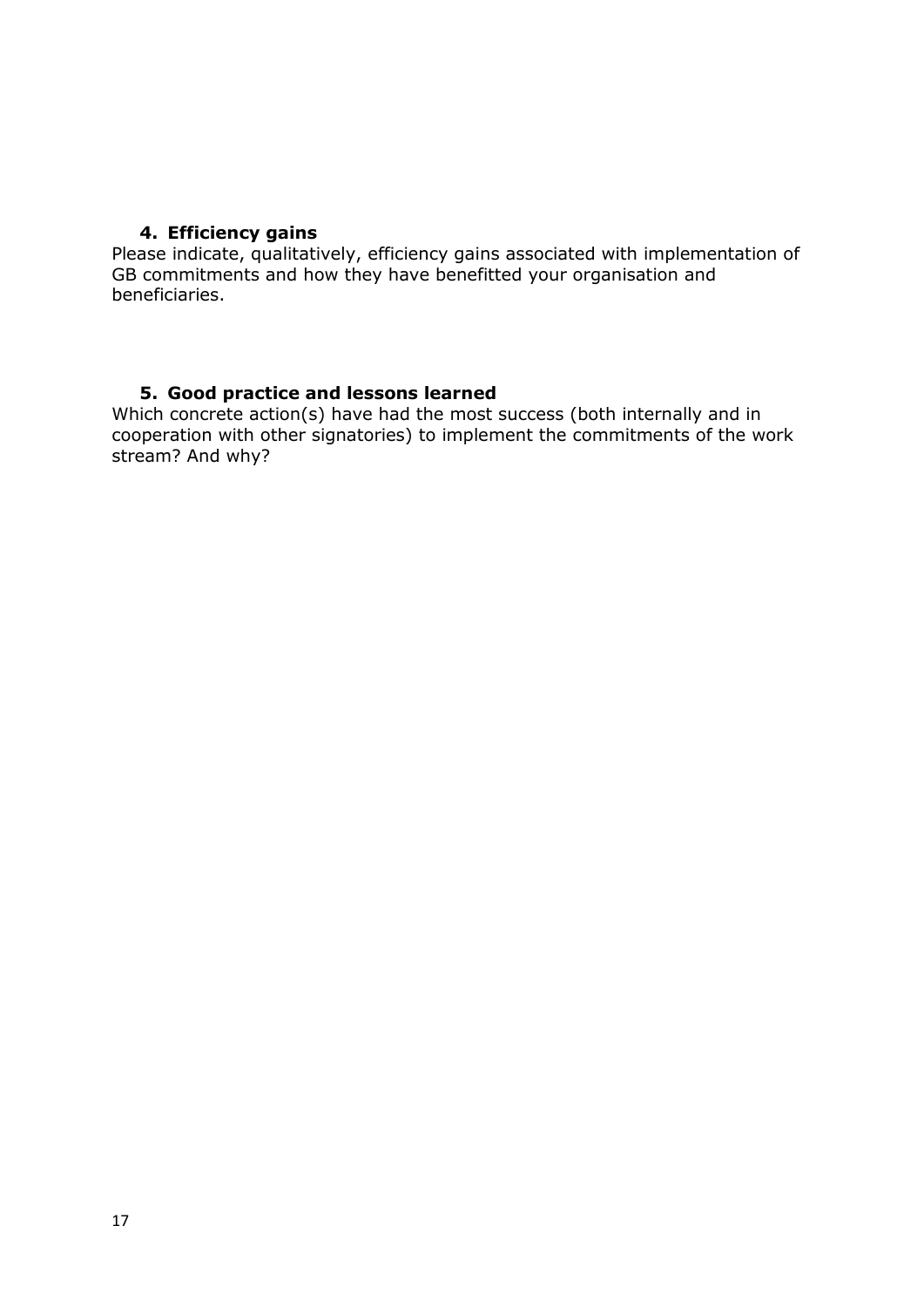# <span id="page-16-0"></span>**4. Efficiency gains**

Please indicate, qualitatively, efficiency gains associated with implementation of GB commitments and how they have benefitted your organisation and beneficiaries.

## <span id="page-16-1"></span>**5. Good practice and lessons learned**

Which concrete action(s) have had the most success (both internally and in cooperation with other signatories) to implement the commitments of the work stream? And why?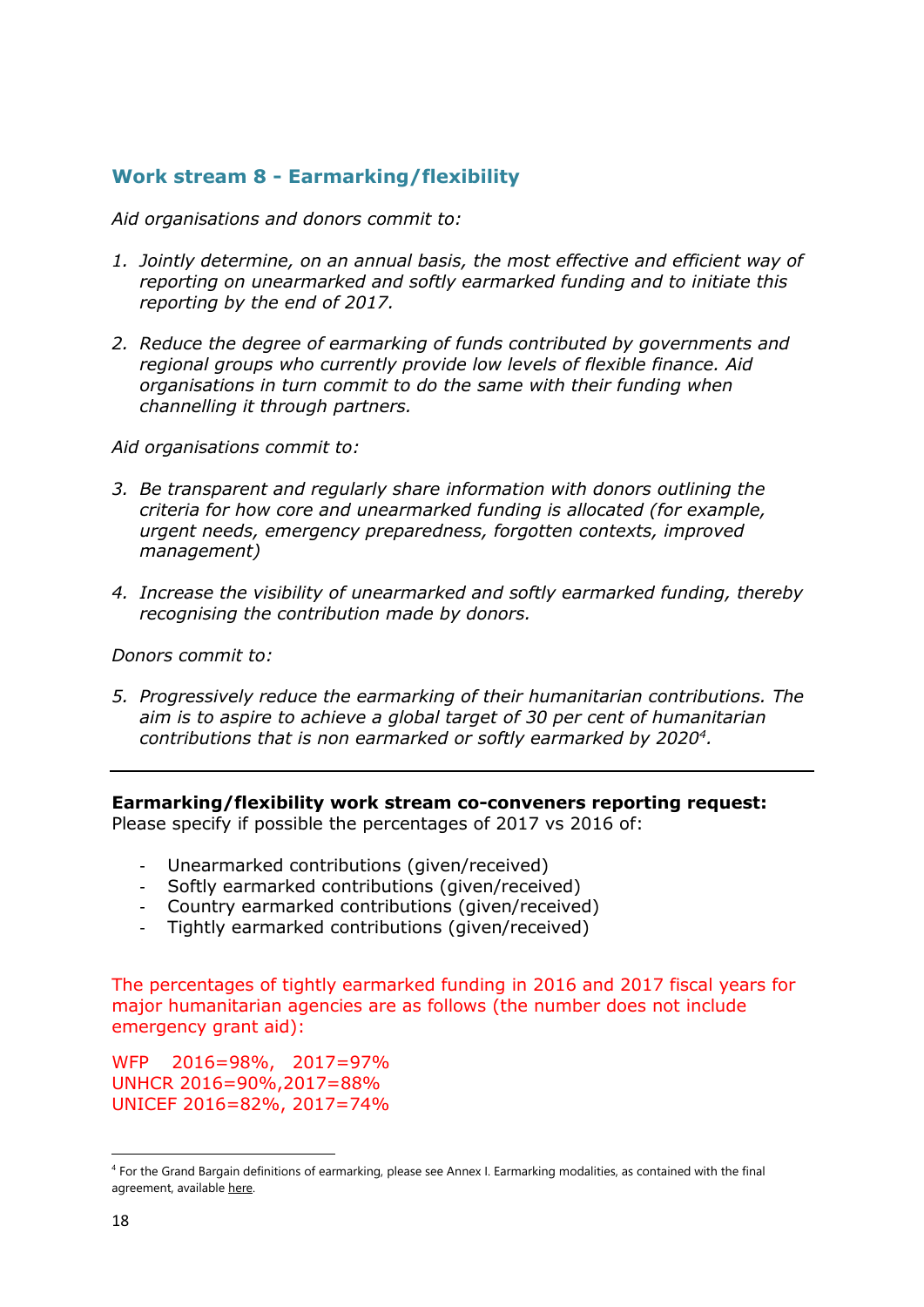# <span id="page-17-0"></span>**Work stream 8 - Earmarking/flexibility**

*Aid organisations and donors commit to:*

- *1. Jointly determine, on an annual basis, the most effective and efficient way of reporting on unearmarked and softly earmarked funding and to initiate this reporting by the end of 2017.*
- *2. Reduce the degree of earmarking of funds contributed by governments and regional groups who currently provide low levels of flexible finance. Aid organisations in turn commit to do the same with their funding when channelling it through partners.*

*Aid organisations commit to:*

- *3. Be transparent and regularly share information with donors outlining the criteria for how core and unearmarked funding is allocated (for example, urgent needs, emergency preparedness, forgotten contexts, improved management)*
- *4. Increase the visibility of unearmarked and softly earmarked funding, thereby recognising the contribution made by donors.*

*Donors commit to:*

*5. Progressively reduce the earmarking of their humanitarian contributions. The aim is to aspire to achieve a global target of 30 per cent of humanitarian contributions that is non earmarked or softly earmarked by 2020<sup>4</sup> .*

<span id="page-17-1"></span>**Earmarking/flexibility work stream co-conveners reporting request:** Please specify if possible the percentages of 2017 vs 2016 of:

- Unearmarked contributions (given/received)
- Softly earmarked contributions (given/received)
- Country earmarked contributions (given/received)
- Tightly earmarked contributions (given/received)

The percentages of tightly earmarked funding in 2016 and 2017 fiscal years for major humanitarian agencies are as follows (the number does not include emergency grant aid):

WFP 2016=98%, 2017=97% UNHCR 2016=90%,2017=88% UNICEF 2016=82%, 2017=74%

**.** 

<sup>4</sup> For the Grand Bargain definitions of earmarking, please see Annex I. Earmarking modalities, as contained with the final agreement, available [here.](https://interagencystandingcommittee.org/grand-bargain-hosted-iasc/documents/grand-bargain-shared-commitment-better-serve-people-need)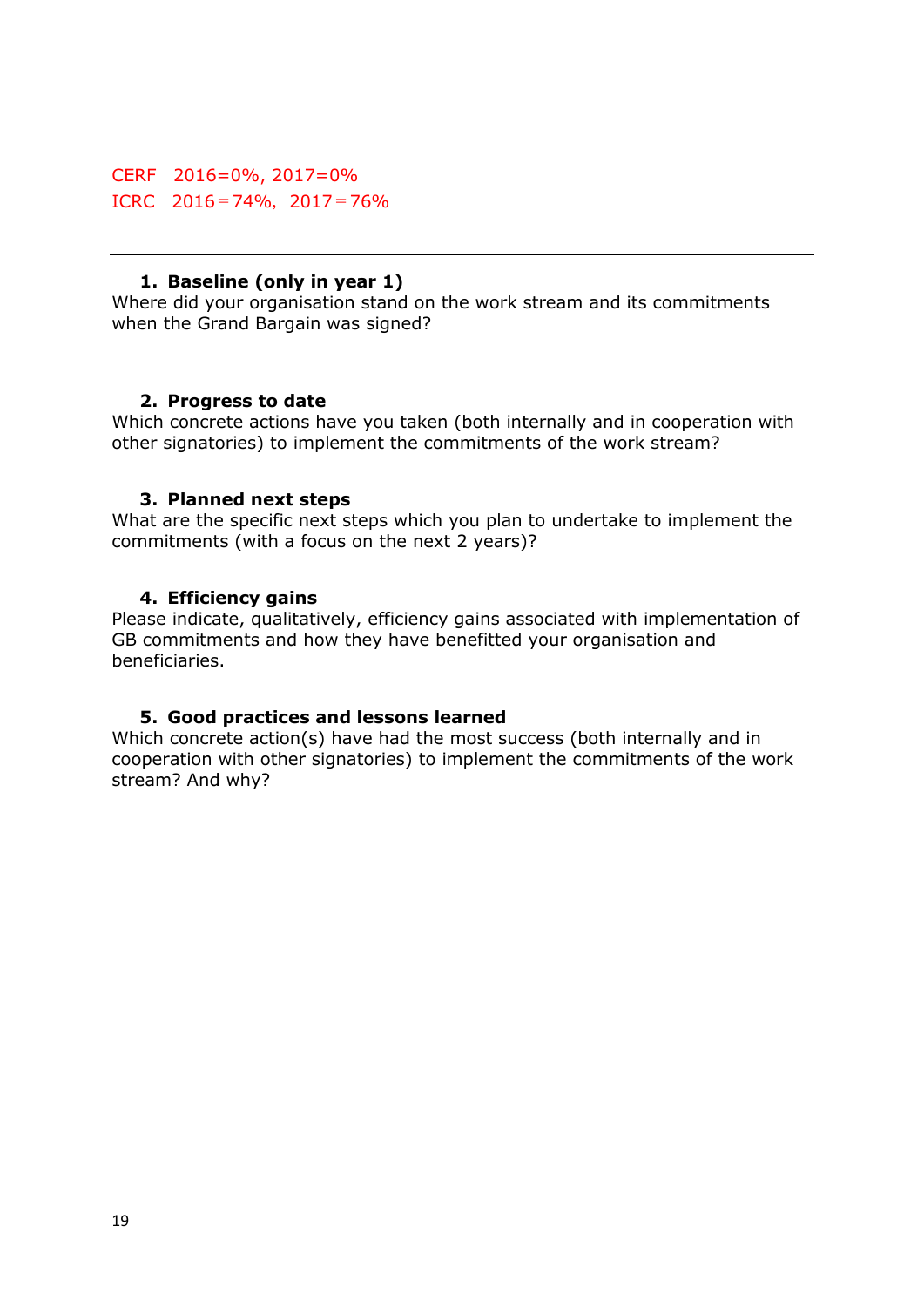CERF 2016=0%, 2017=0% ICRC  $2016 = 74\%$ ,  $2017 = 76\%$ 

#### **1. Baseline (only in year 1)**

Where did your organisation stand on the work stream and its commitments when the Grand Bargain was signed?

#### <span id="page-18-0"></span>**2. Progress to date**

Which concrete actions have you taken (both internally and in cooperation with other signatories) to implement the commitments of the work stream?

#### <span id="page-18-1"></span>**3. Planned next steps**

What are the specific next steps which you plan to undertake to implement the commitments (with a focus on the next 2 years)?

#### <span id="page-18-2"></span>**4. Efficiency gains**

Please indicate, qualitatively, efficiency gains associated with implementation of GB commitments and how they have benefitted your organisation and beneficiaries.

#### <span id="page-18-3"></span>**5. Good practices and lessons learned**

Which concrete action(s) have had the most success (both internally and in cooperation with other signatories) to implement the commitments of the work stream? And why?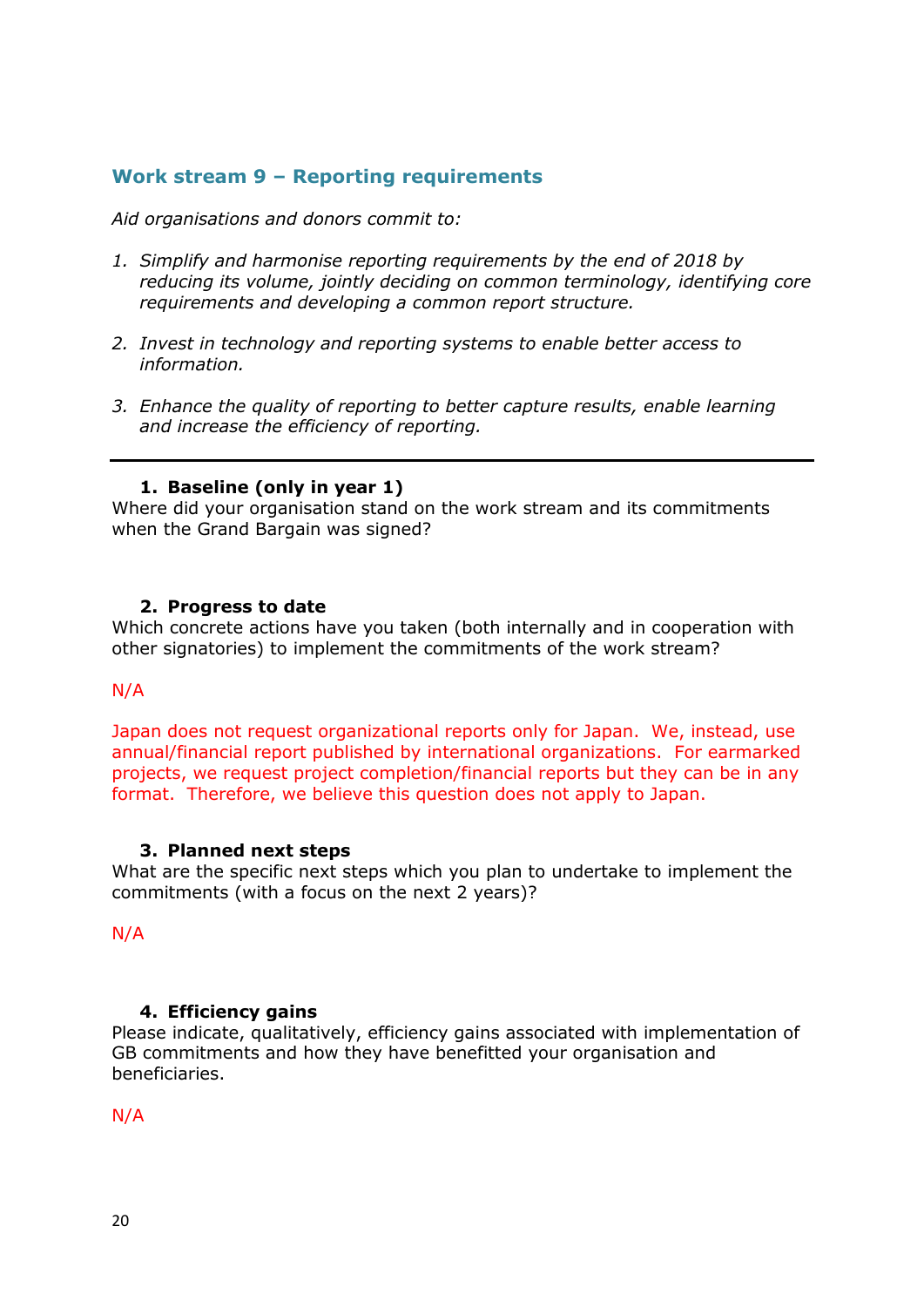# <span id="page-19-0"></span>**Work stream 9 – Reporting requirements**

*Aid organisations and donors commit to:*

- *1. Simplify and harmonise reporting requirements by the end of 2018 by reducing its volume, jointly deciding on common terminology, identifying core requirements and developing a common report structure.*
- *2. Invest in technology and reporting systems to enable better access to information.*
- *3. Enhance the quality of reporting to better capture results, enable learning and increase the efficiency of reporting.*

## **1. Baseline (only in year 1)**

<span id="page-19-1"></span>Where did your organisation stand on the work stream and its commitments when the Grand Bargain was signed?

#### <span id="page-19-2"></span>**2. Progress to date**

Which concrete actions have you taken (both internally and in cooperation with other signatories) to implement the commitments of the work stream?

#### N/A

Japan does not request organizational reports only for Japan. We, instead, use annual/financial report published by international organizations. For earmarked projects, we request project completion/financial reports but they can be in any format. Therefore, we believe this question does not apply to Japan.

#### <span id="page-19-3"></span>**3. Planned next steps**

What are the specific next steps which you plan to undertake to implement the commitments (with a focus on the next 2 years)?

N/A

#### <span id="page-19-4"></span>**4. Efficiency gains**

Please indicate, qualitatively, efficiency gains associated with implementation of GB commitments and how they have benefitted your organisation and beneficiaries.

#### N/A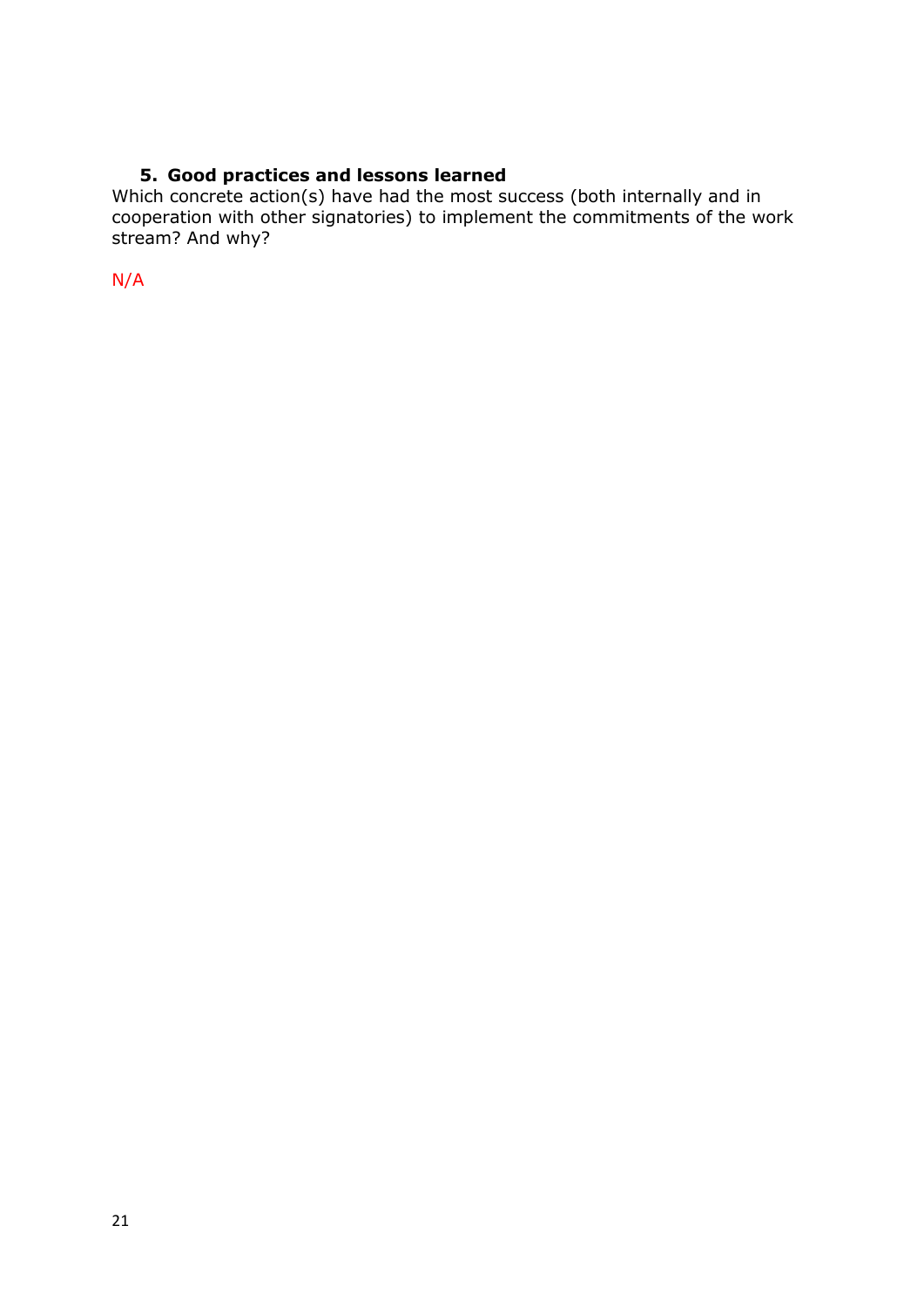# **5. Good practices and lessons learned**

<span id="page-20-0"></span>Which concrete action(s) have had the most success (both internally and in cooperation with other signatories) to implement the commitments of the work stream? And why?

N/A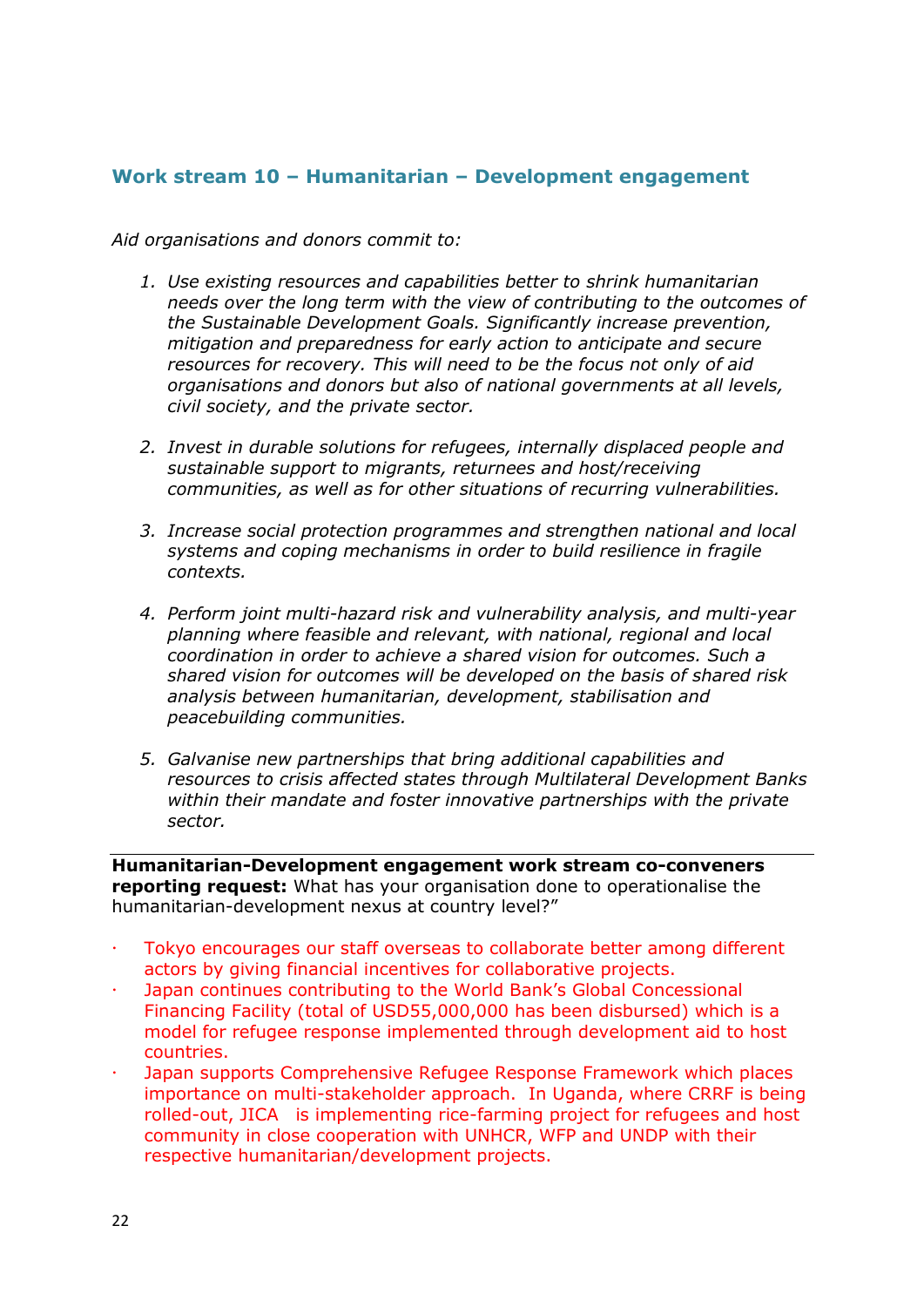# <span id="page-21-1"></span><span id="page-21-0"></span>**Work stream 10 – Humanitarian – Development engagement**

*Aid organisations and donors commit to:*

- *1. Use existing resources and capabilities better to shrink humanitarian needs over the long term with the view of contributing to the outcomes of the Sustainable Development Goals. Significantly increase prevention, mitigation and preparedness for early action to anticipate and secure resources for recovery. This will need to be the focus not only of aid organisations and donors but also of national governments at all levels, civil society, and the private sector.*
- *2. Invest in durable solutions for refugees, internally displaced people and sustainable support to migrants, returnees and host/receiving communities, as well as for other situations of recurring vulnerabilities.*
- *3. Increase social protection programmes and strengthen national and local systems and coping mechanisms in order to build resilience in fragile contexts.*
- *4. Perform joint multi-hazard risk and vulnerability analysis, and multi-year planning where feasible and relevant, with national, regional and local coordination in order to achieve a shared vision for outcomes. Such a shared vision for outcomes will be developed on the basis of shared risk analysis between humanitarian, development, stabilisation and peacebuilding communities.*
- *5. Galvanise new partnerships that bring additional capabilities and resources to crisis affected states through Multilateral Development Banks within their mandate and foster innovative partnerships with the private sector.*

**Humanitarian-Development engagement work stream co-conveners reporting request:** What has your organisation done to operationalise the humanitarian-development nexus at country level?"

- Tokyo encourages our staff overseas to collaborate better among different actors by giving financial incentives for collaborative projects.
- Japan continues contributing to the World Bank's Global Concessional Financing Facility (total of USD55,000,000 has been disbursed) which is a model for refugee response implemented through development aid to host countries.
- Japan supports Comprehensive Refugee Response Framework which places importance on multi-stakeholder approach. In Uganda, where CRRF is being rolled-out, JICA is implementing rice-farming project for refugees and host community in close cooperation with UNHCR, WFP and UNDP with their respective humanitarian/development projects.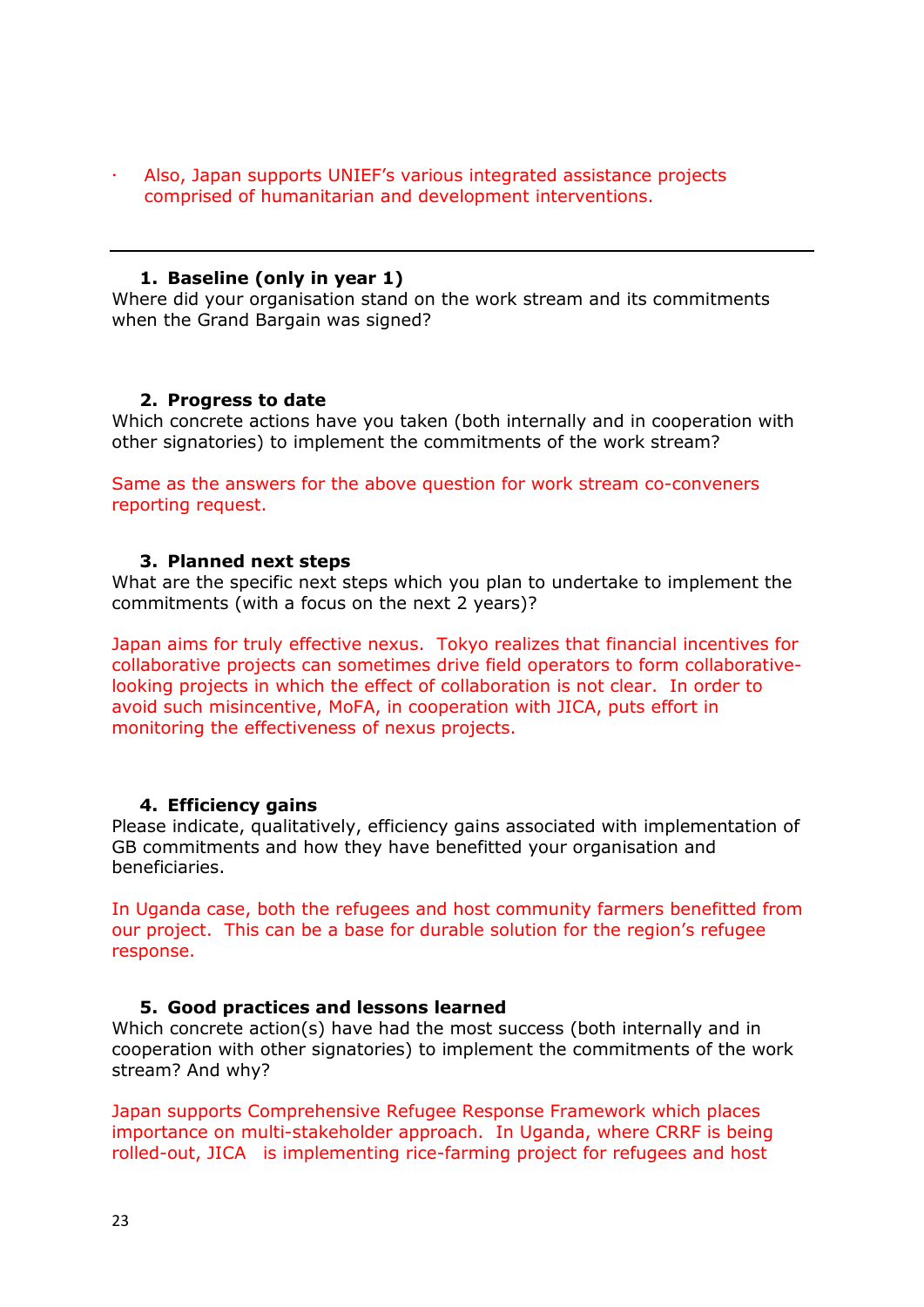Also, Japan supports UNIEF's various integrated assistance projects comprised of humanitarian and development interventions.

#### **1. Baseline (only in year 1)**

Where did your organisation stand on the work stream and its commitments when the Grand Bargain was signed?

#### <span id="page-22-0"></span>**2. Progress to date**

Which concrete actions have you taken (both internally and in cooperation with other signatories) to implement the commitments of the work stream?

Same as the answers for the above question for work stream co-conveners reporting request.

#### **3. Planned next steps**

What are the specific next steps which you plan to undertake to implement the commitments (with a focus on the next 2 years)?

Japan aims for truly effective nexus. Tokyo realizes that financial incentives for collaborative projects can sometimes drive field operators to form collaborativelooking projects in which the effect of collaboration is not clear. In order to avoid such misincentive, MoFA, in cooperation with JICA, puts effort in monitoring the effectiveness of nexus projects.

## <span id="page-22-1"></span>**4. Efficiency gains**

Please indicate, qualitatively, efficiency gains associated with implementation of GB commitments and how they have benefitted your organisation and beneficiaries.

In Uganda case, both the refugees and host community farmers benefitted from our project. This can be a base for durable solution for the region's refugee response.

#### <span id="page-22-2"></span>**5. Good practices and lessons learned**

Which concrete action(s) have had the most success (both internally and in cooperation with other signatories) to implement the commitments of the work stream? And why?

Japan supports Comprehensive Refugee Response Framework which places importance on multi-stakeholder approach. In Uganda, where CRRF is being rolled-out, JICA is implementing rice-farming project for refugees and host